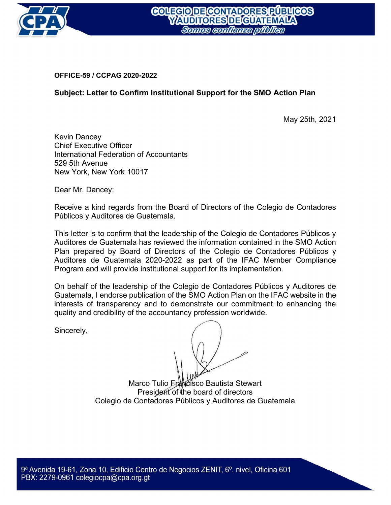

# OFFICE-59 / CCPAG 2020-2022

# Subject: Letter to Confirm Institutional Support for the SMO Action Plan

May 25th, 2021

Kevin Dancey Chief Executive Officer International Federation of Accountants 529 5th Avenue New York, New York 10017

Dear Mr. Dancey:

Receive a kind regards from the Board of Directors of the Colegio de Contadores Públicos y Auditores de Guatemala.

This letter is to confirm that the leadership of the Colegio de Contadores Públicos y Auditores de Guatemala has reviewed the information contained in the SMO Action Plan prepared by Board of Directors of the Colegio de Contadores Públicos y Auditores de Guatemala 2020-2022 as part of the IFAC Member Compliance Program and will provide institutional support for its implementation.

On behalf of the leadership of the Colegio de Contadores Públicos y Auditores de Guatemala, I endorse publication of the SMO Action Plan on the IFAC website in the interests of transparency and to demonstrate our commitment to enhancing the quality and credibility of the accountancy profession worldwide.

Sincerely,

Marco Tulio Erancisco Bautista Stewart President of the board of directors Colegio de Contadores Públicos y Auditores de Guatemala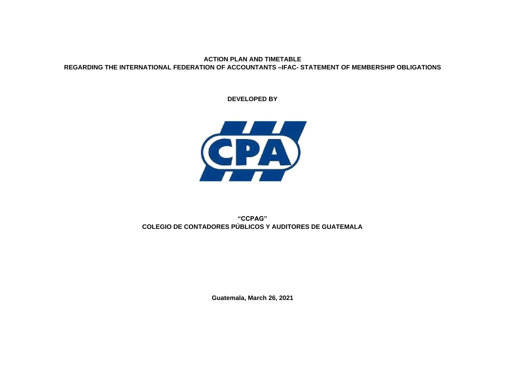# **ACTION PLAN AND TIMETABLE REGARDING THE INTERNATIONAL FEDERATION OF ACCOUNTANTS –IFAC- STATEMENT OF MEMBERSHIP OBLIGATIONS**

**DEVELOPED BY**



**"CCPAG" COLEGIO DE CONTADORES PÚBLICOS Y AUDITORES DE GUATEMALA**

**Guatemala, March 26, 2021**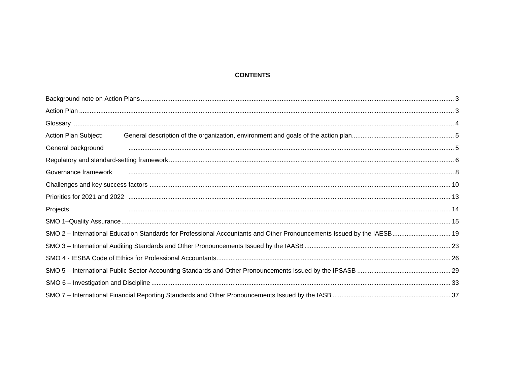# **CONTENTS**

| Action Plan Subject: |                                                                                                                        |  |
|----------------------|------------------------------------------------------------------------------------------------------------------------|--|
| General background   |                                                                                                                        |  |
|                      |                                                                                                                        |  |
| Governance framework |                                                                                                                        |  |
|                      |                                                                                                                        |  |
|                      | Priorities for 2021 and 2022 <b>Manual Accord 2022</b> 2012 2023 13                                                    |  |
| Projects             |                                                                                                                        |  |
|                      |                                                                                                                        |  |
|                      | SMO 2 - International Education Standards for Professional Accountants and Other Pronouncements Issued by the IAESB 19 |  |
|                      |                                                                                                                        |  |
|                      |                                                                                                                        |  |
|                      |                                                                                                                        |  |
|                      |                                                                                                                        |  |
|                      |                                                                                                                        |  |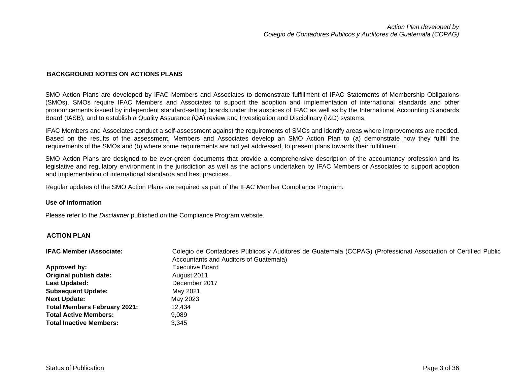### <span id="page-3-0"></span>**BACKGROUND NOTES ON ACTIONS PLANS**

SMO Action Plans are developed by IFAC Members and Associates to demonstrate fulfillment of IFAC Statements of Membership Obligations (SMOs). SMOs require IFAC Members and Associates to support the adoption and implementation of international standards and other pronouncements issued by independent standard-setting boards under the auspices of IFAC as well as by the International Accounting Standards Board (IASB); and to establish a Quality Assurance (QA) review and Investigation and Disciplinary (I&D) systems.

IFAC Members and Associates conduct a self-assessment against the requirements of SMOs and identify areas where improvements are needed. Based on the results of the assessment, Members and Associates develop an SMO Action Plan to (a) demonstrate how they fulfill the requirements of the SMOs and (b) where some requirements are not yet addressed, to present plans towards their fulfillment.

SMO Action Plans are designed to be ever-green documents that provide a comprehensive description of the accountancy profession and its legislative and regulatory environment in the jurisdiction as well as the actions undertaken by IFAC Members or Associates to support adoption and implementation of international standards and best practices.

Regular updates of the SMO Action Plans are required as part of the IFAC Member Compliance Program.

#### **Use of information**

Please refer to the *Disclaimer* published on the Compliance Program website.

#### <span id="page-3-1"></span>**ACTION PLAN**

| <b>IFAC Member /Associate:</b>      | Colegio de Contadores Públicos y Auditores de Guatemala (CCPAG) (Professional Association of Certified Public |
|-------------------------------------|---------------------------------------------------------------------------------------------------------------|
|                                     | Accountants and Auditors of Guatemala)                                                                        |
| Approved by:                        | <b>Executive Board</b>                                                                                        |
| Original publish date:              | August 2011                                                                                                   |
| Last Updated:                       | December 2017                                                                                                 |
| <b>Subsequent Update:</b>           | May 2021                                                                                                      |
| <b>Next Update:</b>                 | May 2023                                                                                                      |
| <b>Total Members February 2021:</b> | 12.434                                                                                                        |
| <b>Total Active Members:</b>        | 9.089                                                                                                         |
| <b>Total Inactive Members:</b>      | 3.345                                                                                                         |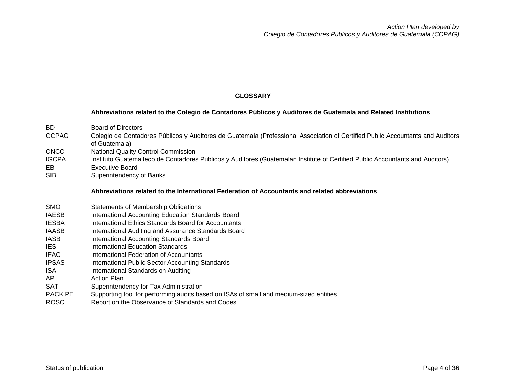# **GLOSSARY**

### **Abbreviations related to the Colegio de Contadores Públicos y Auditores de Guatemala and Related Institutions**

- <span id="page-4-0"></span>BD Board of Directors
- CCPAG Colegio de Contadores Públicos y Auditores de Guatemala (Professional Association of Certified Public Accountants and Auditors of Guatemala)
- CNCC National Quality Control Commission
- IGCPA Instituto Guatemalteco de Contadores Públicos y Auditores (Guatemalan Institute of Certified Public Accountants and Auditors)
- EB Executive Board
- SIB Superintendency of Banks

#### **Abbreviations related to the International Federation of Accountants and related abbreviations**

- SMO Statements of Membership Obligations
- IAESB International Accounting Education Standards Board
- IESBA International Ethics Standards Board for Accountants
- IAASB International Auditing and Assurance Standards Board
- IASB International Accounting Standards Board
- IES International Education Standards
- IFAC International Federation of Accountants
- IPSAS International Public Sector Accounting Standards
- ISA International Standards on Auditing
- AP Action Plan
- SAT Superintendency for Tax Administration
- PACK PE Supporting tool for performing audits based on ISAs of small and medium-sized entities
- ROSC Report on the Observance of Standards and Codes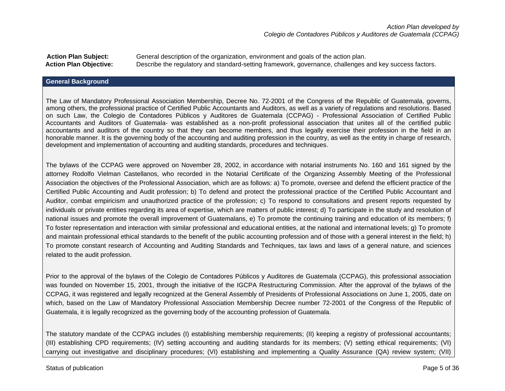<span id="page-5-0"></span>**Action Plan Subject:** General description of the organization, environment and goals of the action plan. **Action Plan Objective:** Describe the regulatory and standard-setting framework, governance, challenges and key success factors.

### <span id="page-5-1"></span>**General Background**

The Law of Mandatory Professional Association Membership, Decree No. 72-2001 of the Congress of the Republic of Guatemala, governs, among others, the professional practice of Certified Public Accountants and Auditors, as well as a variety of regulations and resolutions. Based on such Law, the Colegio de Contadores Públicos y Auditores de Guatemala (CCPAG) - Professional Association of Certified Public Accountants and Auditors of Guatemala- was established as a non-profit professional association that unites all of the certified public accountants and auditors of the country so that they can become members, and thus legally exercise their profession in the field in an honorable manner. It is the governing body of the accounting and auditing profession in the country, as well as the entity in charge of research, development and implementation of accounting and auditing standards, procedures and techniques.

The bylaws of the CCPAG were approved on November 28, 2002, in accordance with notarial instruments No. 160 and 161 signed by the attorney Rodolfo Vielman Castellanos, who recorded in the Notarial Certificate of the Organizing Assembly Meeting of the Professional Association the objectives of the Professional Association, which are as follows: a) To promote, oversee and defend the efficient practice of the Certified Public Accounting and Audit profession; b) To defend and protect the professional practice of the Certified Public Accountant and Auditor, combat empiricism and unauthorized practice of the profession; c) To respond to consultations and present reports requested by individuals or private entities regarding its area of expertise, which are matters of public interest; d) To participate in the study and resolution of national issues and promote the overall improvement of Guatemalans, e) To promote the continuing training and education of its members; f) To foster representation and interaction with similar professional and educational entities, at the national and international levels; g) To promote and maintain professional ethical standards to the benefit of the public accounting profession and of those with a general interest in the field; h) To promote constant research of Accounting and Auditing Standards and Techniques, tax laws and laws of a general nature, and sciences related to the audit profession.

Prior to the approval of the bylaws of the Colegio de Contadores Públicos y Auditores de Guatemala (CCPAG), this professional association was founded on November 15, 2001, through the initiative of the IGCPA Restructuring Commission. After the approval of the bylaws of the CCPAG, it was registered and legally recognized at the General Assembly of Presidents of Professional Associations on June 1, 2005, date on which, based on the Law of Mandatory Professional Association Membership Decree number 72-2001 of the Congress of the Republic of Guatemala, it is legally recognized as the governing body of the accounting profession of Guatemala.

The statutory mandate of the CCPAG includes (I) establishing membership requirements; (II) keeping a registry of professional accountants; (III) establishing CPD requirements; (IV) setting accounting and auditing standards for its members; (V) setting ethical requirements; (VI) carrying out investigative and disciplinary procedures; (VI) establishing and implementing a Quality Assurance (QA) review system; (VII)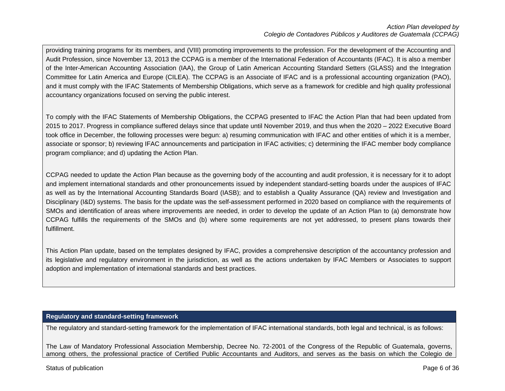providing training programs for its members, and (VIII) promoting improvements to the profession. For the development of the Accounting and Audit Profession, since November 13, 2013 the CCPAG is a member of the International Federation of Accountants (IFAC). It is also a member of the Inter-American Accounting Association (IAA), the Group of Latin American Accounting Standard Setters (GLASS) and the Integration Committee for Latin America and Europe (CILEA). The CCPAG is an Associate of IFAC and is a professional accounting organization (PAO), and it must comply with the IFAC Statements of Membership Obligations, which serve as a framework for credible and high quality professional accountancy organizations focused on serving the public interest.

To comply with the IFAC Statements of Membership Obligations, the CCPAG presented to IFAC the Action Plan that had been updated from 2015 to 2017. Progress in compliance suffered delays since that update until November 2019, and thus when the 2020 – 2022 Executive Board took office in December, the following processes were begun: a) resuming communication with IFAC and other entities of which it is a member, associate or sponsor; b) reviewing IFAC announcements and participation in IFAC activities; c) determining the IFAC member body compliance program compliance; and d) updating the Action Plan.

CCPAG needed to update the Action Plan because as the governing body of the accounting and audit profession, it is necessary for it to adopt and implement international standards and other pronouncements issued by independent standard-setting boards under the auspices of IFAC as well as by the International Accounting Standards Board (IASB); and to establish a Quality Assurance (QA) review and Investigation and Disciplinary (I&D) systems. The basis for the update was the self-assessment performed in 2020 based on compliance with the requirements of SMOs and identification of areas where improvements are needed, in order to develop the update of an Action Plan to (a) demonstrate how CCPAG fulfills the requirements of the SMOs and (b) where some requirements are not yet addressed, to present plans towards their fulfillment.

This Action Plan update, based on the templates designed by IFAC, provides a comprehensive description of the accountancy profession and its legislative and regulatory environment in the jurisdiction, as well as the actions undertaken by IFAC Members or Associates to support adoption and implementation of international standards and best practices.

# <span id="page-6-0"></span>**Regulatory and standard-setting framework**

The regulatory and standard-setting framework for the implementation of IFAC international standards, both legal and technical, is as follows:

The Law of Mandatory Professional Association Membership, Decree No. 72-2001 of the Congress of the Republic of Guatemala, governs, among others, the professional practice of Certified Public Accountants and Auditors, and serves as the basis on which the Colegio de

Status of publication Page 6 of 36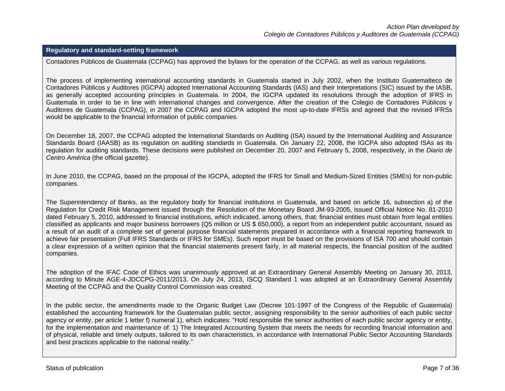### **Regulatory and standard-setting framework**

Contadores Públicos de Guatemala (CCPAG) has approved the bylaws for the operation of the CCPAG, as well as various regulations.

The process of implementing international accounting standards in Guatemala started in July 2002, when the Instituto Guatemalteco de Contadores Públicos y Auditores (IGCPA) adopted International Accounting Standards (IAS) and their Interpretations (SIC) issued by the IASB, as generally accepted accounting principles in Guatemala. In 2004, the IGCPA updated its resolutions through the adoption of IFRS in Guatemala in order to be in line with international changes and convergence. After the creation of the Colegio de Contadores Públicos y Auditores de Guatemala (CCPAG), in 2007 the CCPAG and IGCPA adopted the most up-to-date IFRSs and agreed that the revised IFRSs would be applicable to the financial information of public companies.

On December 18, 2007, the CCPAG adopted the International Standards on Auditing (ISA) issued by the International Auditing and Assurance Standards Board (IAASB) as its regulation on auditing standards in Guatemala. On January 22, 2008, the IGCPA also adopted ISAs as its regulation for auditing standards. These decisions were published on December 20, 2007 and February 5, 2008, respectively, in the *Diario de Centro América* (the official gazette).

In June 2010, the CCPAG, based on the proposal of the IGCPA, adopted the IFRS for Small and Medium-Sized Entities (SMEs) for non-public companies.

The Superintendency of Banks, as the regulatory body for financial institutions in Guatemala, and based on article 16, subsection a) of the Regulation for Credit Risk Management issued through the Resolution of the Monetary Board JM-93-2005, issued Official Notice No. 81-2010 dated February 5, 2010, addressed to financial institutions, which indicated, among others, that: financial entities must obtain from legal entities classified as applicants and major business borrowers (Q5 million or US \$ 650,000), a report from an independent public accountant, issued as a result of an audit of a complete set of general purpose financial statements prepared in accordance with a financial reporting framework to achieve fair presentation (Full IFRS Standards or IFRS for SMEs). Such report must be based on the provisions of ISA 700 and should contain a clear expression of a written opinion that the financial statements present fairly, in all material respects, the financial position of the audited companies.

The adoption of the IFAC Code of Ethics was unanimously approved at an Extraordinary General Assembly Meeting on January 30, 2013, according to Minute AGE-4-JDCCPG-2011/2013. On July 24, 2013, ISCQ Standard 1 was adopted at an Extraordinary General Assembly Meeting of the CCPAG and the Quality Control Commission was created.

In the public sector, the amendments made to the Organic Budget Law (Decree 101-1997 of the Congress of the Republic of Guatemala) established the accounting framework for the Guatemalan public sector, assigning responsibility to the senior authorities of each public sector agency or entity, per article 1 letter f) numeral 1), which indicates: "Hold responsible the senior authorities of each public sector agency or entity, for the implementation and maintenance of: 1) The Integrated Accounting System that meets the needs for recording financial information and of physical, reliable and timely outputs, tailored to its own characteristics, in accordance with International Public Sector Accounting Standards and best practices applicable to the national reality."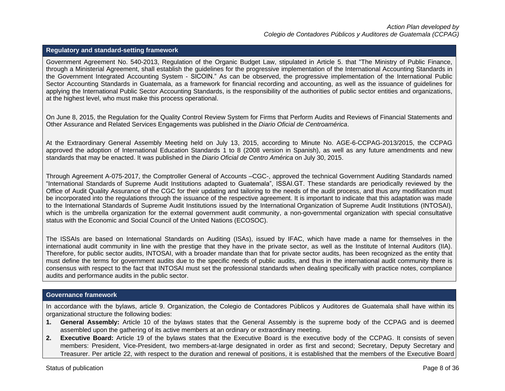#### **Regulatory and standard-setting framework**

Government Agreement No. 540-2013, Regulation of the Organic Budget Law, stipulated in Article 5. that "The Ministry of Public Finance, through a Ministerial Agreement, shall establish the guidelines for the progressive implementation of the International Accounting Standards in the Government Integrated Accounting System - SICOIN." As can be observed, the progressive implementation of the International Public Sector Accounting Standards in Guatemala, as a framework for financial recording and accounting, as well as the issuance of guidelines for applying the International Public Sector Accounting Standards, is the responsibility of the authorities of public sector entities and organizations, at the highest level, who must make this process operational.

On June 8, 2015, the Regulation for the Quality Control Review System for Firms that Perform Audits and Reviews of Financial Statements and Other Assurance and Related Services Engagements was published in the *Diario Oficial de Centroamérica*.

At the Extraordinary General Assembly Meeting held on July 13, 2015, according to Minute No. AGE-6-CCPAG-2013/2015, the CCPAG approved the adoption of International Education Standards 1 to 8 (2008 version in Spanish), as well as any future amendments and new standards that may be enacted. It was published in the *Diario Oficial de Centro América* on July 30, 2015.

Through Agreement A-075-2017, the Comptroller General of Accounts –CGC-, approved the technical Government Auditing Standards named "International Standards of Supreme Audit Institutions adapted to Guatemala", ISSAI.GT. These standards are periodically reviewed by the Office of Audit Quality Assurance of the CGC for their updating and tailoring to the needs of the audit process, and thus any modification must be incorporated into the regulations through the issuance of the respective agreement. It is important to indicate that this adaptation was made to the International Standards of Supreme Audit Institutions issued by the International Organization of Supreme Audit Institutions (INTOSAI), which is the umbrella organization for the external government audit community, a non-governmental organization with special consultative status with the Economic and Social Council of the United Nations (ECOSOC).

The ISSAIs are based on International Standards on Auditing (ISAs), issued by IFAC, which have made a name for themselves in the international audit community in line with the prestige that they have in the private sector, as well as the Institute of Internal Auditors (IIA). Therefore, for public sector audits, INTOSAI, with a broader mandate than that for private sector audits, has been recognized as the entity that must define the terms for government audits due to the specific needs of public audits, and thus in the international audit community there is consensus with respect to the fact that INTOSAI must set the professional standards when dealing specifically with practice notes, compliance audits and performance audits in the public sector.

### <span id="page-8-0"></span>**Governance framework**

In accordance with the bylaws, article 9. Organization, the Colegio de Contadores Públicos y Auditores de Guatemala shall have within its organizational structure the following bodies:

- **1. General Assembly:** Article 10 of the bylaws states that the General Assembly is the supreme body of the CCPAG and is deemed assembled upon the gathering of its active members at an ordinary or extraordinary meeting.
- **2. Executive Board:** Article 19 of the bylaws states that the Executive Board is the executive body of the CCPAG. It consists of seven members: President, Vice-President, two members-at-large designated in order as first and second; Secretary, Deputy Secretary and Treasurer. Per article 22, with respect to the duration and renewal of positions, it is established that the members of the Executive Board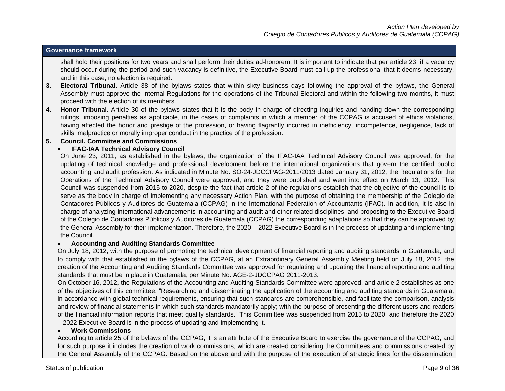# **Governance framework**

shall hold their positions for two years and shall perform their duties ad-honorem. It is important to indicate that per article 23, if a vacancy should occur during the period and such vacancy is definitive, the Executive Board must call up the professional that it deems necessary, and in this case, no election is required.

- **3. Electoral Tribunal.** Article 38 of the bylaws states that within sixty business days following the approval of the bylaws, the General Assembly must approve the Internal Regulations for the operations of the Tribunal Electoral and within the following two months, it must proceed with the election of its members.
- **4. Honor Tribunal.** Article 30 of the bylaws states that it is the body in charge of directing inquiries and handing down the corresponding rulings, imposing penalties as applicable, in the cases of complaints in which a member of the CCPAG is accused of ethics violations, having affected the honor and prestige of the profession, or having flagrantly incurred in inefficiency, incompetence, negligence, lack of skills, malpractice or morally improper conduct in the practice of the profession.

### **5. Council, Committee and Commissions**

### • **IFAC-IAA Technical Advisory Council**

On June 23, 2011, as established in the bylaws, the organization of the IFAC-IAA Technical Advisory Council was approved, for the updating of technical knowledge and professional development before the international organizations that govern the certified public accounting and audit profession. As indicated in Minute No. SO-24-JDCCPAG-2011/2013 dated January 31, 2012, the Regulations for the Operations of the Technical Advisory Council were approved, and they were published and went into effect on March 13, 2012. This Council was suspended from 2015 to 2020, despite the fact that article 2 of the regulations establish that the objective of the council is to serve as the body in charge of implementing any necessary Action Plan, with the purpose of obtaining the membership of the Colegio de Contadores Públicos y Auditores de Guatemala (CCPAG) in the International Federation of Accountants (IFAC). In addition, it is also in charge of analyzing international advancements in accounting and audit and other related disciplines, and proposing to the Executive Board of the Colegio de Contadores Públicos y Auditores de Guatemala (CCPAG) the corresponding adaptations so that they can be approved by the General Assembly for their implementation. Therefore, the 2020 – 2022 Executive Board is in the process of updating and implementing the Council.

#### • **Accounting and Auditing Standards Committee**

On July 18, 2012, with the purpose of promoting the technical development of financial reporting and auditing standards in Guatemala, and to comply with that established in the bylaws of the CCPAG, at an Extraordinary General Assembly Meeting held on July 18, 2012, the creation of the Accounting and Auditing Standards Committee was approved for regulating and updating the financial reporting and auditing standards that must be in place in Guatemala, per Minute No. AGE-2-JDCCPAG 2011-2013.

On October 16, 2012, the Regulations of the Accounting and Auditing Standards Committee were approved, and article 2 establishes as one of the objectives of this committee, "Researching and disseminating the application of the accounting and auditing standards in Guatemala, in accordance with global technical requirements, ensuring that such standards are comprehensible, and facilitate the comparison, analysis and review of financial statements in which such standards mandatorily apply; with the purpose of presenting the different users and readers of the financial information reports that meet quality standards." This Committee was suspended from 2015 to 2020, and therefore the 2020 – 2022 Executive Board is in the process of updating and implementing it.

#### • **Work Commissions**

According to article 25 of the bylaws of the CCPAG, it is an attribute of the Executive Board to exercise the governance of the CCPAG, and for such purpose it includes the creation of work commissions, which are created considering the Committees and commissions created by the General Assembly of the CCPAG. Based on the above and with the purpose of the execution of strategic lines for the dissemination,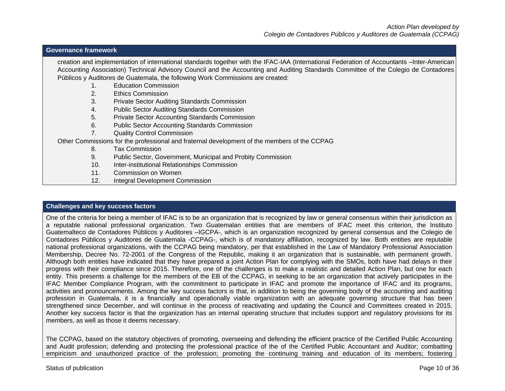### **Governance framework**

creation and implementation of international standards together with the IFAC-IAA (International Federation of Accountants –Inter-American Accounting Association) Technical Advisory Council and the Accounting and Auditing Standards Committee of the Colegio de Contadores Públicos y Auditores de Guatemala, the following Work Commissions are created:

- 1. Education Commission
- 2. Ethics Commission
- 3. Private Sector Auditing Standards Commission
- 4. Public Sector Auditing Standards Commission
- 5. Private Sector Accounting Standards Commission
- 6. Public Sector Accounting Standards Commission
- 7. Quality Control Commission

Other Commissions for the professional and fraternal development of the members of the CCPAG

- 8. Tax Commission
- 9. Public Sector, Government, Municipal and Probity Commission
- 10. Inter-institutional Relationships Commission
- 11. Commission on Women
- 12. Integral Development Commission

#### <span id="page-10-0"></span>**Challenges and key success factors**

One of the criteria for being a member of IFAC is to be an organization that is recognized by law or general consensus within their jurisdiction as a reputable national professional organization. Two Guatemalan entities that are members of IFAC meet this criterion, the Instituto Guatemalteco de Contadores Públicos y Auditores –IGCPA-, which is an organization recognized by general consensus and the Colegio de Contadores Públicos y Auditores de Guatemala -CCPAG-, which is of mandatory affiliation, recognized by law. Both entities are reputable national professional organizations, with the CCPAG being mandatory, per that established in the Law of Mandatory Professional Association Membership, Decree No. 72-2001 of the Congress of the Republic, making it an organization that is sustainable, with permanent growth. Although both entities have indicated that they have prepared a joint Action Plan for complying with the SMOs, both have had delays in their progress with their compliance since 2015. Therefore, one of the challenges is to make a realistic and detailed Action Plan, but one for each entity. This presents a challenge for the members of the EB of the CCPAG, in seeking to be an organization that actively participates in the IFAC Member Compliance Program, with the commitment to participate in IFAC and promote the importance of IFAC and its programs, activities and pronouncements. Among the key success factors is that, in addition to being the governing body of the accounting and auditing profession in Guatemala, it is a financially and operationally viable organization with an adequate governing structure that has been strengthened since December, and will continue in the process of reactivating and updating the Council and Committees created in 2015. Another key success factor is that the organization has an internal operating structure that includes support and regulatory provisions for its members, as well as those it deems necessary.

The CCPAG, based on the statutory objectives of promoting, overseeing and defending the efficient practice of the Certified Public Accounting and Audit profession; defending and protecting the professional practice of the of the Certified Public Accountant and Auditor; combatting empiricism and unauthorized practice of the profession; promoting the continuing training and education of its members; fostering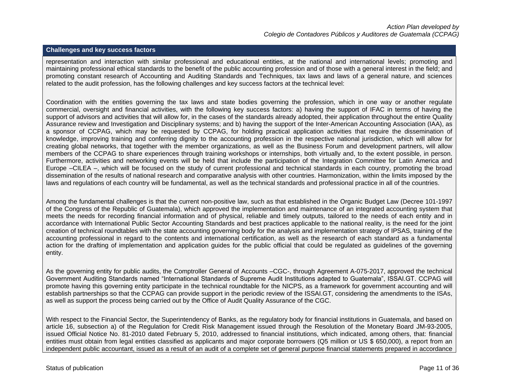#### **Challenges and key success factors**

representation and interaction with similar professional and educational entities, at the national and international levels; promoting and maintaining professional ethical standards to the benefit of the public accounting profession and of those with a general interest in the field; and promoting constant research of Accounting and Auditing Standards and Techniques, tax laws and laws of a general nature, and sciences related to the audit profession, has the following challenges and key success factors at the technical level:

Coordination with the entities governing the tax laws and state bodies governing the profession, which in one way or another regulate commercial, oversight and financial activities, with the following key success factors: a) having the support of IFAC in terms of having the support of advisors and activities that will allow for, in the cases of the standards already adopted, their application throughout the entire Quality Assurance review and Investigation and Disciplinary systems; and b) having the support of the Inter-American Accounting Association (IAA), as a sponsor of CCPAG, which may be requested by CCPAG, for holding practical application activities that require the dissemination of knowledge, improving training and conferring dignity to the accounting profession in the respective national jurisdiction, which will allow for creating global networks, that together with the member organizations, as well as the Business Forum and development partners, will allow members of the CCPAG to share experiences through training workshops or internships, both virtually and, to the extent possible, in person. Furthermore, activities and networking events will be held that include the participation of the Integration Committee for Latin America and Europe –CILEA –, which will be focused on the study of current professional and technical standards in each country, promoting the broad dissemination of the results of national research and comparative analysis with other countries. Harmonization, within the limits imposed by the laws and regulations of each country will be fundamental, as well as the technical standards and professional practice in all of the countries.

Among the fundamental challenges is that the current non-positive law, such as that established in the Organic Budget Law (Decree 101-1997 of the Congress of the Republic of Guatemala), which approved the implementation and maintenance of an integrated accounting system that meets the needs for recording financial information and of physical, reliable and timely outputs, tailored to the needs of each entity and in accordance with International Public Sector Accounting Standards and best practices applicable to the national reality, is the need for the joint creation of technical roundtables with the state accounting governing body for the analysis and implementation strategy of IPSAS, training of the accounting professional in regard to the contents and international certification, as well as the research of each standard as a fundamental action for the drafting of implementation and application guides for the public official that could be regulated as guidelines of the governing entity.

As the governing entity for public audits, the Comptroller General of Accounts –CGC-, through Agreement A-075-2017, approved the technical Government Auditing Standards named "International Standards of Supreme Audit Institutions adapted to Guatemala", ISSAI.GT. CCPAG will promote having this governing entity participate in the technical roundtable for the NICPS, as a framework for government accounting and will establish partnerships so that the CCPAG can provide support in the periodic review of the ISSAI.GT, considering the amendments to the ISAs, as well as support the process being carried out by the Office of Audit Quality Assurance of the CGC.

With respect to the Financial Sector, the Superintendency of Banks, as the regulatory body for financial institutions in Guatemala, and based on article 16, subsection a) of the Regulation for Credit Risk Management issued through the Resolution of the Monetary Board JM-93-2005, issued Official Notice No. 81-2010 dated February 5, 2010, addressed to financial institutions, which indicated, among others, that: financial entities must obtain from legal entities classified as applicants and major corporate borrowers (Q5 million or US \$ 650,000), a report from an independent public accountant, issued as a result of an audit of a complete set of general purpose financial statements prepared in accordance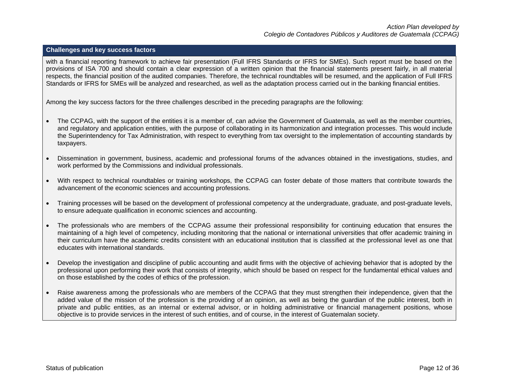# **Challenges and key success factors**

with a financial reporting framework to achieve fair presentation (Full IFRS Standards or IFRS for SMEs). Such report must be based on the provisions of ISA 700 and should contain a clear expression of a written opinion that the financial statements present fairly, in all material respects, the financial position of the audited companies. Therefore, the technical roundtables will be resumed, and the application of Full IFRS Standards or IFRS for SMEs will be analyzed and researched, as well as the adaptation process carried out in the banking financial entities.

Among the key success factors for the three challenges described in the preceding paragraphs are the following:

- The CCPAG, with the support of the entities it is a member of, can advise the Government of Guatemala, as well as the member countries, and regulatory and application entities, with the purpose of collaborating in its harmonization and integration processes. This would include the Superintendency for Tax Administration, with respect to everything from tax oversight to the implementation of accounting standards by taxpayers.
- Dissemination in government, business, academic and professional forums of the advances obtained in the investigations, studies, and work performed by the Commissions and individual professionals.
- With respect to technical roundtables or training workshops, the CCPAG can foster debate of those matters that contribute towards the advancement of the economic sciences and accounting professions.
- Training processes will be based on the development of professional competency at the undergraduate, graduate, and post-graduate levels, to ensure adequate qualification in economic sciences and accounting.
- The professionals who are members of the CCPAG assume their professional responsibility for continuing education that ensures the maintaining of a high level of competency, including monitoring that the national or international universities that offer academic training in their curriculum have the academic credits consistent with an educational institution that is classified at the professional level as one that educates with international standards.
- Develop the investigation and discipline of public accounting and audit firms with the objective of achieving behavior that is adopted by the professional upon performing their work that consists of integrity, which should be based on respect for the fundamental ethical values and on those established by the codes of ethics of the profession.
- Raise awareness among the professionals who are members of the CCPAG that they must strengthen their independence, given that the added value of the mission of the profession is the providing of an opinion, as well as being the guardian of the public interest, both in private and public entities, as an internal or external advisor, or in holding administrative or financial management positions, whose objective is to provide services in the interest of such entities, and of course, in the interest of Guatemalan society.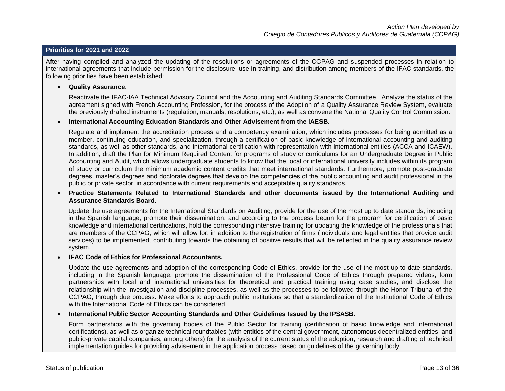#### <span id="page-13-0"></span>**Priorities for 2021 and 2022**

After having compiled and analyzed the updating of the resolutions or agreements of the CCPAG and suspended processes in relation to international agreements that include permission for the disclosure, use in training, and distribution among members of the IFAC standards, the following priorities have been established:

#### • **Quality Assurance.**

Reactivate the IFAC-IAA Technical Advisory Council and the Accounting and Auditing Standards Committee. Analyze the status of the agreement signed with French Accounting Profession, for the process of the Adoption of a Quality Assurance Review System, evaluate the previously drafted instruments (regulation, manuals, resolutions, etc.), as well as convene the National Quality Control Commission.

#### • **International Accounting Education Standards and Other Advisement from the IAESB.**

Regulate and implement the accreditation process and a competency examination, which includes processes for being admitted as a member, continuing education, and specialization, through a certification of basic knowledge of international accounting and auditing standards, as well as other standards, and international certification with representation with international entities (ACCA and ICAEW). In addition, draft the Plan for Minimum Required Content for programs of study or curriculums for an Undergraduate Degree in Public Accounting and Audit, which allows undergraduate students to know that the local or international university includes within its program of study or curriculum the minimum academic content credits that meet international standards. Furthermore, promote post-graduate degrees, master's degrees and doctorate degrees that develop the competencies of the public accounting and audit professional in the public or private sector, in accordance with current requirements and acceptable quality standards.

#### • **Practice Statements Related to International Standards and other documents issued by the International Auditing and Assurance Standards Board.**

Update the use agreements for the International Standards on Auditing, provide for the use of the most up to date standards, including in the Spanish language, promote their dissemination, and according to the process begun for the program for certification of basic knowledge and international certifications, hold the corresponding intensive training for updating the knowledge of the professionals that are members of the CCPAG, which will allow for, in addition to the registration of firms (individuals and legal entities that provide audit services) to be implemented, contributing towards the obtaining of positive results that will be reflected in the quality assurance review system.

#### • **IFAC Code of Ethics for Professional Accountants.**

Update the use agreements and adoption of the corresponding Code of Ethics, provide for the use of the most up to date standards, including in the Spanish language, promote the dissemination of the Professional Code of Ethics through prepared videos, form partnerships with local and international universities for theoretical and practical training using case studies, and disclose the relationship with the investigation and discipline processes, as well as the processes to be followed through the Honor Tribunal of the CCPAG, through due process. Make efforts to approach public institutions so that a standardization of the Institutional Code of Ethics with the International Code of Ethics can be considered.

#### • **International Public Sector Accounting Standards and Other Guidelines Issued by the IPSASB.**

Form partnerships with the governing bodies of the Public Sector for training (certification of basic knowledge and international certifications), as well as organize technical roundtables (with entities of the central government, autonomous decentralized entities, and public-private capital companies, among others) for the analysis of the current status of the adoption, research and drafting of technical implementation guides for providing advisement in the application process based on guidelines of the governing body.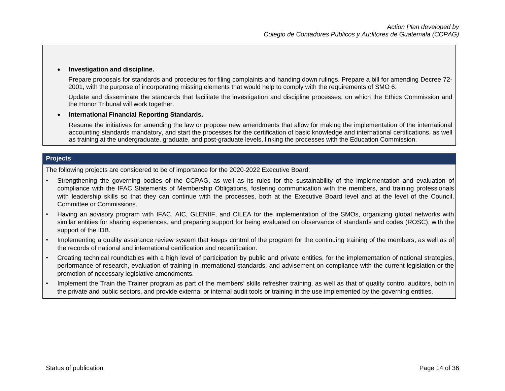#### • **Investigation and discipline.**

Prepare proposals for standards and procedures for filing complaints and handing down rulings. Prepare a bill for amending Decree 72- 2001, with the purpose of incorporating missing elements that would help to comply with the requirements of SMO 6.

Update and disseminate the standards that facilitate the investigation and discipline processes, on which the Ethics Commission and the Honor Tribunal will work together.

#### • **International Financial Reporting Standards.**

Resume the initiatives for amending the law or propose new amendments that allow for making the implementation of the international accounting standards mandatory, and start the processes for the certification of basic knowledge and international certifications, as well as training at the undergraduate, graduate, and post-graduate levels, linking the processes with the Education Commission.

# <span id="page-14-0"></span>**Projects**

The following projects are considered to be of importance for the 2020-2022 Executive Board:

- Strengthening the governing bodies of the CCPAG, as well as its rules for the sustainability of the implementation and evaluation of compliance with the IFAC Statements of Membership Obligations, fostering communication with the members, and training professionals with leadership skills so that they can continue with the processes, both at the Executive Board level and at the level of the Council, Committee or Commissions.
- Having an advisory program with IFAC, AIC, GLENIIF, and CILEA for the implementation of the SMOs, organizing global networks with similar entities for sharing experiences, and preparing support for being evaluated on observance of standards and codes (ROSC), with the support of the IDB.
- Implementing a quality assurance review system that keeps control of the program for the continuing training of the members, as well as of the records of national and international certification and recertification.
- Creating technical roundtables with a high level of participation by public and private entities, for the implementation of national strategies, performance of research, evaluation of training in international standards, and advisement on compliance with the current legislation or the promotion of necessary legislative amendments.
- Implement the Train the Trainer program as part of the members' skills refresher training, as well as that of quality control auditors, both in the private and public sectors, and provide external or internal audit tools or training in the use implemented by the governing entities.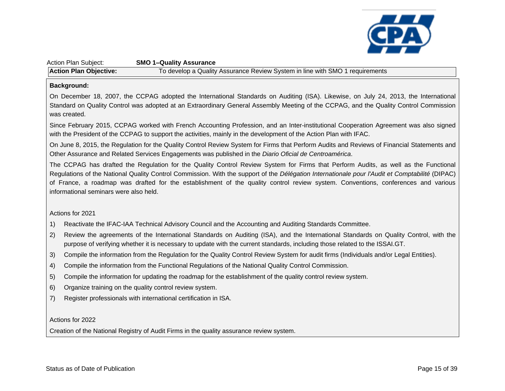

<span id="page-15-0"></span>Action Plan Subject: **SMO 1–Quality Assurance**

**Action Plan Objective:** To develop a Quality Assurance Review System in line with SMO 1 requirements

### **Background:**

On December 18, 2007, the CCPAG adopted the International Standards on Auditing (ISA). Likewise, on July 24, 2013, the International Standard on Quality Control was adopted at an Extraordinary General Assembly Meeting of the CCPAG, and the Quality Control Commission was created.

Since February 2015, CCPAG worked with French Accounting Profession, and an Inter-institutional Cooperation Agreement was also signed with the President of the CCPAG to support the activities, mainly in the development of the Action Plan with IFAC.

On June 8, 2015, the Regulation for the Quality Control Review System for Firms that Perform Audits and Reviews of Financial Statements and Other Assurance and Related Services Engagements was published in the *Diario Oficial de Centroamérica*.

The CCPAG has drafted the Regulation for the Quality Control Review System for Firms that Perform Audits, as well as the Functional Regulations of the National Quality Control Commission. With the support of the *Délégation Internationale pour l'Audit et Comptabilité* (DIPAC) of France, a roadmap was drafted for the establishment of the quality control review system. Conventions, conferences and various informational seminars were also held.

#### Actions for 2021

- 1) Reactivate the IFAC-IAA Technical Advisory Council and the Accounting and Auditing Standards Committee.
- 2) Review the agreements of the International Standards on Auditing (ISA), and the International Standards on Quality Control, with the purpose of verifying whether it is necessary to update with the current standards, including those related to the ISSAI.GT.
- 3) Compile the information from the Regulation for the Quality Control Review System for audit firms (Individuals and/or Legal Entities).
- 4) Compile the information from the Functional Regulations of the National Quality Control Commission.
- 5) Compile the information for updating the roadmap for the establishment of the quality control review system.
- 6) Organize training on the quality control review system.
- 7) Register professionals with international certification in ISA.

Actions for 2022

Creation of the National Registry of Audit Firms in the quality assurance review system.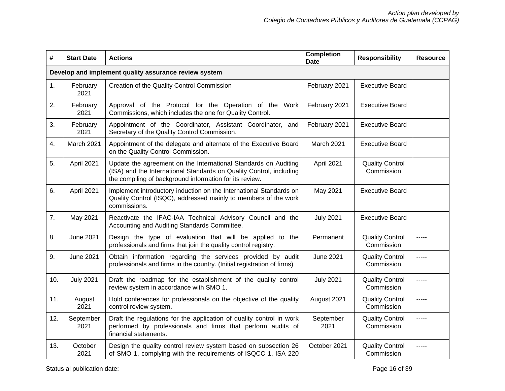| $\pmb{\#}$ | <b>Start Date</b> | <b>Actions</b>                                                                                                                                                                                    | <b>Completion</b><br><b>Date</b> | <b>Responsibility</b>                | <b>Resource</b> |
|------------|-------------------|---------------------------------------------------------------------------------------------------------------------------------------------------------------------------------------------------|----------------------------------|--------------------------------------|-----------------|
|            |                   | Develop and implement quality assurance review system                                                                                                                                             |                                  |                                      |                 |
| 1.         | February<br>2021  | Creation of the Quality Control Commission                                                                                                                                                        | February 2021                    | <b>Executive Board</b>               |                 |
| 2.         | February<br>2021  | Approval of the Protocol for the Operation of the Work<br>Commissions, which includes the one for Quality Control.                                                                                | February 2021                    | <b>Executive Board</b>               |                 |
| 3.         | February<br>2021  | Appointment of the Coordinator, Assistant Coordinator, and<br>Secretary of the Quality Control Commission.                                                                                        | February 2021                    | <b>Executive Board</b>               |                 |
| 4.         | March 2021        | Appointment of the delegate and alternate of the Executive Board<br>on the Quality Control Commission.                                                                                            | March 2021                       | <b>Executive Board</b>               |                 |
| 5.         | April 2021        | Update the agreement on the International Standards on Auditing<br>(ISA) and the International Standards on Quality Control, including<br>the compiling of background information for its review. | April 2021                       | <b>Quality Control</b><br>Commission |                 |
| 6.         | April 2021        | Implement introductory induction on the International Standards on<br>Quality Control (ISQC), addressed mainly to members of the work<br>commissions.                                             | May 2021                         | <b>Executive Board</b>               |                 |
| 7.         | May 2021          | Reactivate the IFAC-IAA Technical Advisory Council and the<br>Accounting and Auditing Standards Committee.                                                                                        | <b>July 2021</b>                 | <b>Executive Board</b>               |                 |
| 8.         | <b>June 2021</b>  | Design the type of evaluation that will be applied to the<br>professionals and firms that join the quality control registry.                                                                      | Permanent                        | <b>Quality Control</b><br>Commission | -----           |
| 9.         | <b>June 2021</b>  | Obtain information regarding the services provided by audit<br>professionals and firms in the country. (Initial registration of firms)                                                            | <b>June 2021</b>                 | <b>Quality Control</b><br>Commission | -----           |
| 10.        | <b>July 2021</b>  | Draft the roadmap for the establishment of the quality control<br>review system in accordance with SMO 1.                                                                                         | <b>July 2021</b>                 | <b>Quality Control</b><br>Commission | -----           |
| 11.        | August<br>2021    | Hold conferences for professionals on the objective of the quality<br>control review system.                                                                                                      | August 2021                      | <b>Quality Control</b><br>Commission | -----           |
| 12.        | September<br>2021 | Draft the regulations for the application of quality control in work<br>performed by professionals and firms that perform audits of<br>financial statements.                                      | September<br>2021                | <b>Quality Control</b><br>Commission | -----           |
| 13.        | October<br>2021   | Design the quality control review system based on subsection 26<br>of SMO 1, complying with the requirements of ISQCC 1, ISA 220                                                                  | October 2021                     | <b>Quality Control</b><br>Commission | -----           |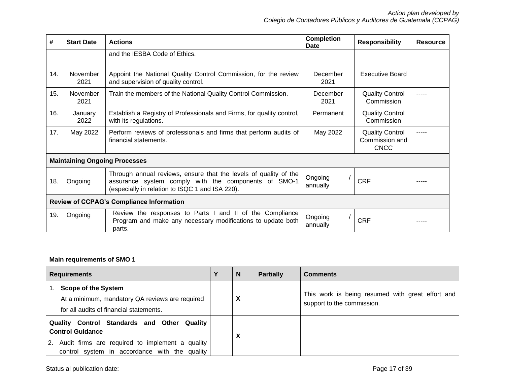| #   | <b>Start Date</b> | <b>Actions</b>                                                                                                                                                              | <b>Completion</b><br>Date | <b>Responsibility</b>                                   | <b>Resource</b> |
|-----|-------------------|-----------------------------------------------------------------------------------------------------------------------------------------------------------------------------|---------------------------|---------------------------------------------------------|-----------------|
|     |                   | and the IESBA Code of Ethics.                                                                                                                                               |                           |                                                         |                 |
| 14. | November<br>2021  | Appoint the National Quality Control Commission, for the review<br>and supervision of quality control.                                                                      | December<br>2021          | <b>Executive Board</b>                                  |                 |
| 15. | November<br>2021  | Train the members of the National Quality Control Commission.                                                                                                               | December<br>2021          | <b>Quality Control</b><br>Commission                    |                 |
| 16. | January<br>2022   | Establish a Registry of Professionals and Firms, for quality control,<br>with its regulations.                                                                              | Permanent                 | <b>Quality Control</b><br>Commission                    |                 |
| 17. | May 2022          | Perform reviews of professionals and firms that perform audits of<br>financial statements.                                                                                  | May 2022                  | <b>Quality Control</b><br>Commission and<br><b>CNCC</b> |                 |
|     |                   | <b>Maintaining Ongoing Processes</b>                                                                                                                                        |                           |                                                         |                 |
| 18. | Ongoing           | Through annual reviews, ensure that the levels of quality of the<br>assurance system comply with the components of SMO-1<br>(especially in relation to ISQC 1 and ISA 220). | Ongoing<br>annually       | <b>CRF</b>                                              |                 |
|     |                   | <b>Review of CCPAG's Compliance Information</b>                                                                                                                             |                           |                                                         |                 |
| 19. | Ongoing           | Review the responses to Parts I and II of the Compliance<br>Program and make any necessary modifications to update both<br>parts.                                           | Ongoing<br>annually       | <b>CRF</b>                                              |                 |

# **Main requirements of SMO 1**

| <b>Requirements</b>                                                                                                                                                              | ν | N | <b>Partially</b> | <b>Comments</b>                                                                |
|----------------------------------------------------------------------------------------------------------------------------------------------------------------------------------|---|---|------------------|--------------------------------------------------------------------------------|
| <b>Scope of the System</b><br>At a minimum, mandatory QA reviews are required<br>for all audits of financial statements.                                                         |   |   |                  | This work is being resumed with great effort and<br>support to the commission. |
| Quality Control Standards and Other Quality<br><b>Control Guidance</b><br>Audit firms are required to implement a quality<br>2.<br>control system in accordance with the quality |   |   |                  |                                                                                |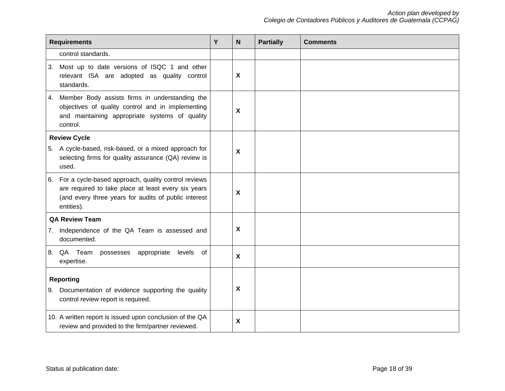|    | <b>Requirements</b>                                                                                                                                                              | Y | $\mathsf{N}$              | <b>Partially</b> | <b>Comments</b> |
|----|----------------------------------------------------------------------------------------------------------------------------------------------------------------------------------|---|---------------------------|------------------|-----------------|
|    | control standards.                                                                                                                                                               |   |                           |                  |                 |
| 3. | Most up to date versions of ISQC 1 and other<br>relevant ISA are adopted as quality control<br>standards.                                                                        |   | $\boldsymbol{\mathsf{X}}$ |                  |                 |
| 4. | Member Body assists firms in understanding the<br>objectives of quality control and in implementing<br>and maintaining appropriate systems of quality<br>control.                |   | $\boldsymbol{\mathsf{X}}$ |                  |                 |
|    | <b>Review Cycle</b>                                                                                                                                                              |   |                           |                  |                 |
|    | 5. A cycle-based, risk-based, or a mixed approach for<br>selecting firms for quality assurance (QA) review is<br>used.                                                           |   | X                         |                  |                 |
| 6. | For a cycle-based approach, quality control reviews<br>are required to take place at least every six years<br>(and every three years for audits of public interest<br>entities). |   | $\boldsymbol{\mathsf{X}}$ |                  |                 |
|    | <b>QA Review Team</b>                                                                                                                                                            |   |                           |                  |                 |
| 7. | Independence of the QA Team is assessed and<br>documented.                                                                                                                       |   | X                         |                  |                 |
| 8. | QA Team possesses<br>appropriate<br>levels<br>of<br>expertise.                                                                                                                   |   | $\boldsymbol{\mathsf{X}}$ |                  |                 |
|    | <b>Reporting</b>                                                                                                                                                                 |   |                           |                  |                 |
| 9. | Documentation of evidence supporting the quality<br>control review report is required.                                                                                           |   | X                         |                  |                 |
|    | 10. A written report is issued upon conclusion of the QA<br>review and provided to the firm/partner reviewed.                                                                    |   | $\boldsymbol{\mathsf{X}}$ |                  |                 |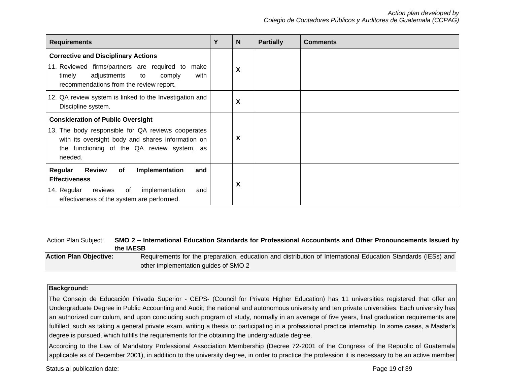| <b>Requirements</b>                                                                                                                                                                                           | Υ | N | <b>Partially</b> | <b>Comments</b> |
|---------------------------------------------------------------------------------------------------------------------------------------------------------------------------------------------------------------|---|---|------------------|-----------------|
| <b>Corrective and Disciplinary Actions</b><br>11. Reviewed firms/partners are required to make<br>adjustments<br>timely<br>to<br>comply<br>with<br>recommendations from the review report.                    |   | X |                  |                 |
| 12. QA review system is linked to the Investigation and<br>Discipline system.                                                                                                                                 |   | X |                  |                 |
| <b>Consideration of Public Oversight</b><br>13. The body responsible for QA reviews cooperates<br>with its oversight body and shares information on<br>the functioning of the QA review system, as<br>needed. |   | X |                  |                 |
| <b>Review</b><br>Implementation<br>Regular<br>of<br>and<br><b>Effectiveness</b><br>14. Regular<br>reviews<br>implementation<br>of<br>and<br>effectiveness of the system are performed.                        |   | X |                  |                 |

<span id="page-19-0"></span>Action Plan Subject: **SMO 2 – International Education Standards for Professional Accountants and Other Pronouncements Issued by the IAESB** 

Action Plan Objective: Requirements for the preparation, education and distribution of International Education Standards (IESs) and other implementation guides of SMO 2

# **Background:**

The Consejo de Educación Privada Superior - CEPS- (Council for Private Higher Education) has 11 universities registered that offer an Undergraduate Degree in Public Accounting and Audit; the national and autonomous university and ten private universities. Each university has an authorized curriculum, and upon concluding such program of study, normally in an average of five years, final graduation requirements are fulfilled, such as taking a general private exam, writing a thesis or participating in a professional practice internship. In some cases, a Master's degree is pursued, which fulfills the requirements for the obtaining the undergraduate degree.

According to the Law of Mandatory Professional Association Membership (Decree 72-2001 of the Congress of the Republic of Guatemala applicable as of December 2001), in addition to the university degree, in order to practice the profession it is necessary to be an active member

Status al publication date: Page 19 of 39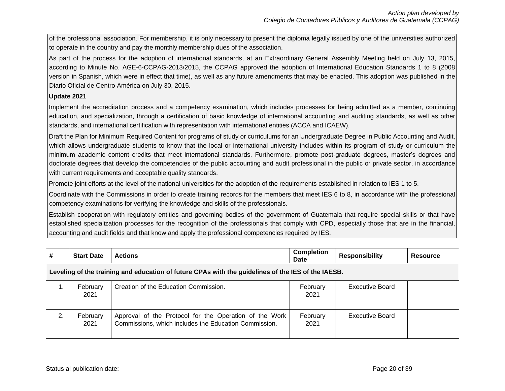of the professional association. For membership, it is only necessary to present the diploma legally issued by one of the universities authorized to operate in the country and pay the monthly membership dues of the association.

As part of the process for the adoption of international standards, at an Extraordinary General Assembly Meeting held on July 13, 2015, according to Minute No. AGE-6-CCPAG-2013/2015, the CCPAG approved the adoption of International Education Standards 1 to 8 (2008 version in Spanish, which were in effect that time), as well as any future amendments that may be enacted. This adoption was published in the Diario Oficial de Centro América on July 30, 2015.

# **Update 2021**

Implement the accreditation process and a competency examination, which includes processes for being admitted as a member, continuing education, and specialization, through a certification of basic knowledge of international accounting and auditing standards, as well as other standards, and international certification with representation with international entities (ACCA and ICAEW).

Draft the Plan for Minimum Required Content for programs of study or curriculums for an Undergraduate Degree in Public Accounting and Audit, which allows undergraduate students to know that the local or international university includes within its program of study or curriculum the minimum academic content credits that meet international standards. Furthermore, promote post-graduate degrees, master's degrees and doctorate degrees that develop the competencies of the public accounting and audit professional in the public or private sector, in accordance with current requirements and acceptable quality standards.

Promote joint efforts at the level of the national universities for the adoption of the requirements established in relation to IES 1 to 5.

Coordinate with the Commissions in order to create training records for the members that meet IES 6 to 8, in accordance with the professional competency examinations for verifying the knowledge and skills of the professionals.

Establish cooperation with regulatory entities and governing bodies of the government of Guatemala that require special skills or that have established specialization processes for the recognition of the professionals that comply with CPD, especially those that are in the financial, accounting and audit fields and that know and apply the professional competencies required by IES.

| #  | <b>Start Date</b>                                                                                  | <b>Actions</b>                                                                                                  | <b>Completion</b><br><b>Date</b> | <b>Responsibility</b> | <b>Resource</b> |  |  |
|----|----------------------------------------------------------------------------------------------------|-----------------------------------------------------------------------------------------------------------------|----------------------------------|-----------------------|-----------------|--|--|
|    | Leveling of the training and education of future CPAs with the guidelines of the IES of the IAESB. |                                                                                                                 |                                  |                       |                 |  |  |
|    | February<br>2021                                                                                   | Creation of the Education Commission.                                                                           | February<br>2021                 | Executive Board       |                 |  |  |
| 2. | February<br>2021                                                                                   | Approval of the Protocol for the Operation of the Work<br>Commissions, which includes the Education Commission. | February<br>2021                 | Executive Board       |                 |  |  |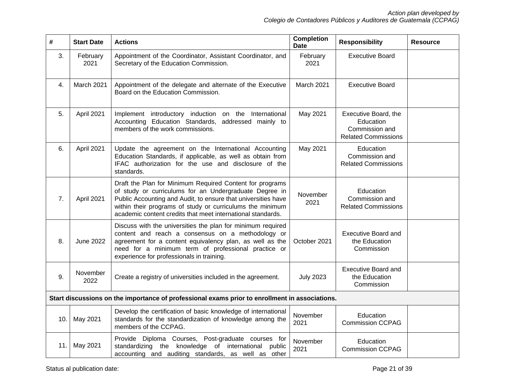| #   | <b>Start Date</b>                                                                              | <b>Actions</b>                                                                                                                                                                                                                                                                                                  | <b>Completion</b><br><b>Date</b> | <b>Responsibility</b>                                                             | <b>Resource</b> |  |  |
|-----|------------------------------------------------------------------------------------------------|-----------------------------------------------------------------------------------------------------------------------------------------------------------------------------------------------------------------------------------------------------------------------------------------------------------------|----------------------------------|-----------------------------------------------------------------------------------|-----------------|--|--|
| 3.  | February<br>2021                                                                               | Appointment of the Coordinator, Assistant Coordinator, and<br>Secretary of the Education Commission.                                                                                                                                                                                                            | February<br>2021                 | <b>Executive Board</b>                                                            |                 |  |  |
| 4.  | March 2021                                                                                     | Appointment of the delegate and alternate of the Executive<br>Board on the Education Commission.                                                                                                                                                                                                                | March 2021                       | <b>Executive Board</b>                                                            |                 |  |  |
| 5.  | April 2021                                                                                     | Implement introductory induction on the International<br>Accounting Education Standards, addressed mainly to<br>members of the work commissions.                                                                                                                                                                | May 2021                         | Executive Board, the<br>Education<br>Commission and<br><b>Related Commissions</b> |                 |  |  |
| 6.  | April 2021                                                                                     | Update the agreement on the International Accounting<br>Education Standards, if applicable, as well as obtain from<br>IFAC authorization for the use and disclosure of the<br>standards.                                                                                                                        | May 2021                         | Education<br>Commission and<br><b>Related Commissions</b>                         |                 |  |  |
| 7.  | April 2021                                                                                     | Draft the Plan for Minimum Required Content for programs<br>of study or curriculums for an Undergraduate Degree in<br>Public Accounting and Audit, to ensure that universities have<br>within their programs of study or curriculums the minimum<br>academic content credits that meet international standards. | November<br>2021                 | Education<br>Commission and<br><b>Related Commissions</b>                         |                 |  |  |
| 8.  | <b>June 2022</b>                                                                               | Discuss with the universities the plan for minimum required<br>content and reach a consensus on a methodology or<br>agreement for a content equivalency plan, as well as the<br>need for a minimum term of professional practice or<br>experience for professionals in training.                                | October 2021                     | <b>Executive Board and</b><br>the Education<br>Commission                         |                 |  |  |
| 9.  | November<br>2022                                                                               | Create a registry of universities included in the agreement.                                                                                                                                                                                                                                                    | <b>July 2023</b>                 | <b>Executive Board and</b><br>the Education<br>Commission                         |                 |  |  |
|     | Start discussions on the importance of professional exams prior to enrollment in associations. |                                                                                                                                                                                                                                                                                                                 |                                  |                                                                                   |                 |  |  |
| 10. | May 2021                                                                                       | Develop the certification of basic knowledge of international<br>standards for the standardization of knowledge among the<br>members of the CCPAG.                                                                                                                                                              | November<br>2021                 | Education<br><b>Commission CCPAG</b>                                              |                 |  |  |
| 11. | May 2021                                                                                       | Provide Diploma Courses, Post-graduate courses for<br>standardizing the knowledge of international public<br>accounting and auditing standards, as well as other                                                                                                                                                | November<br>2021                 | Education<br><b>Commission CCPAG</b>                                              |                 |  |  |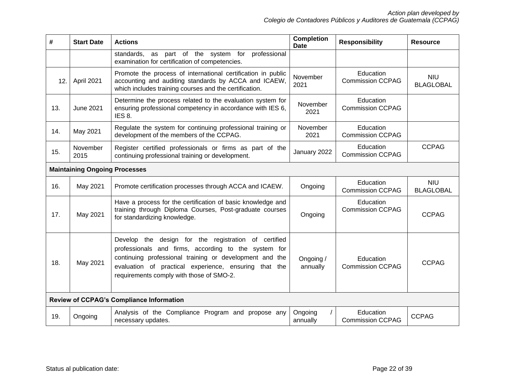| #   | <b>Start Date</b>                               | <b>Actions</b>                                                                                                                                                                                                                                                               | <b>Completion</b><br><b>Date</b> | <b>Responsibility</b>                | <b>Resource</b>                |  |  |
|-----|-------------------------------------------------|------------------------------------------------------------------------------------------------------------------------------------------------------------------------------------------------------------------------------------------------------------------------------|----------------------------------|--------------------------------------|--------------------------------|--|--|
|     |                                                 | standards, as part of the system for<br>professional<br>examination for certification of competencies.                                                                                                                                                                       |                                  |                                      |                                |  |  |
| 12. | April 2021                                      | Promote the process of international certification in public<br>accounting and auditing standards by ACCA and ICAEW,<br>which includes training courses and the certification.                                                                                               | November<br>2021                 | Education<br><b>Commission CCPAG</b> | <b>NIU</b><br><b>BLAGLOBAL</b> |  |  |
| 13. | <b>June 2021</b>                                | Determine the process related to the evaluation system for<br>ensuring professional competency in accordance with IES 6,<br>IES 8.                                                                                                                                           | November<br>2021                 | Education<br><b>Commission CCPAG</b> |                                |  |  |
| 14. | May 2021                                        | Regulate the system for continuing professional training or<br>development of the members of the CCPAG.                                                                                                                                                                      | November<br>2021                 | Education<br><b>Commission CCPAG</b> |                                |  |  |
| 15. | November<br>2015                                | Register certified professionals or firms as part of the<br>continuing professional training or development.                                                                                                                                                                 | January 2022                     | Education<br><b>Commission CCPAG</b> | <b>CCPAG</b>                   |  |  |
|     | <b>Maintaining Ongoing Processes</b>            |                                                                                                                                                                                                                                                                              |                                  |                                      |                                |  |  |
| 16. | May 2021                                        | Promote certification processes through ACCA and ICAEW.                                                                                                                                                                                                                      | Ongoing                          | Education<br><b>Commission CCPAG</b> | <b>NIU</b><br><b>BLAGLOBAL</b> |  |  |
| 17. | May 2021                                        | Have a process for the certification of basic knowledge and<br>training through Diploma Courses, Post-graduate courses<br>for standardizing knowledge.                                                                                                                       | Ongoing                          | Education<br><b>Commission CCPAG</b> | <b>CCPAG</b>                   |  |  |
| 18. | May 2021                                        | Develop the design for the registration of certified<br>professionals and firms, according to the system for<br>continuing professional training or development and the<br>evaluation of practical experience, ensuring that the<br>requirements comply with those of SMO-2. | Ongoing /<br>annually            | Education<br><b>Commission CCPAG</b> | <b>CCPAG</b>                   |  |  |
|     | <b>Review of CCPAG's Compliance Information</b> |                                                                                                                                                                                                                                                                              |                                  |                                      |                                |  |  |
| 19. | Ongoing                                         | Analysis of the Compliance Program and propose any<br>necessary updates.                                                                                                                                                                                                     | Ongoing<br>annually              | Education<br><b>Commission CCPAG</b> | <b>CCPAG</b>                   |  |  |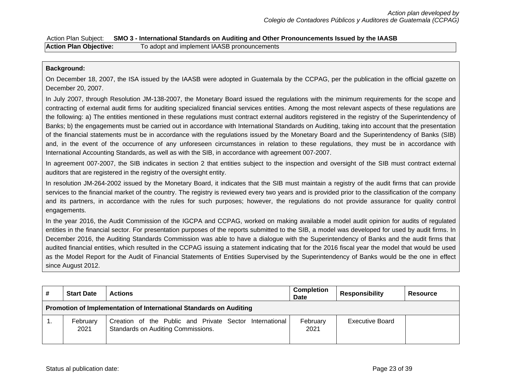<span id="page-23-0"></span>Action Plan Subject: **SMO 3 - International Standards on Auditing and Other Pronouncements Issued by the IAASB**

**Action Plan Objective:** To adopt and implement IAASB pronouncements

# **Background:**

On December 18, 2007, the ISA issued by the IAASB were adopted in Guatemala by the CCPAG, per the publication in the official gazette on December 20, 2007.

In July 2007, through Resolution JM-138-2007, the Monetary Board issued the regulations with the minimum requirements for the scope and contracting of external audit firms for auditing specialized financial services entities. Among the most relevant aspects of these regulations are the following: a) The entities mentioned in these regulations must contract external auditors registered in the registry of the Superintendency of Banks; b) the engagements must be carried out in accordance with International Standards on Auditing, taking into account that the presentation of the financial statements must be in accordance with the regulations issued by the Monetary Board and the Superintendency of Banks (SIB) and, in the event of the occurrence of any unforeseen circumstances in relation to these regulations, they must be in accordance with International Accounting Standards, as well as with the SIB, in accordance with agreement 007-2007.

In agreement 007-2007, the SIB indicates in section 2 that entities subject to the inspection and oversight of the SIB must contract external auditors that are registered in the registry of the oversight entity.

In resolution JM-264-2002 issued by the Monetary Board, it indicates that the SIB must maintain a registry of the audit firms that can provide services to the financial market of the country. The registry is reviewed every two years and is provided prior to the classification of the company and its partners, in accordance with the rules for such purposes; however, the regulations do not provide assurance for quality control engagements.

In the year 2016, the Audit Commission of the IGCPA and CCPAG, worked on making available a model audit opinion for audits of regulated entities in the financial sector. For presentation purposes of the reports submitted to the SIB, a model was developed for used by audit firms. In December 2016, the Auditing Standards Commission was able to have a dialogue with the Superintendency of Banks and the audit firms that audited financial entities, which resulted in the CCPAG issuing a statement indicating that for the 2016 fiscal year the model that would be used as the Model Report for the Audit of Financial Statements of Entities Supervised by the Superintendency of Banks would be the one in effect since August 2012.

| # | <b>Start Date</b>                                                  | <b>Actions</b>                                                                                | <b>Completion</b><br><b>Date</b> | <b>Responsibility</b>  | Resource |  |
|---|--------------------------------------------------------------------|-----------------------------------------------------------------------------------------------|----------------------------------|------------------------|----------|--|
|   | Promotion of Implementation of International Standards on Auditing |                                                                                               |                                  |                        |          |  |
|   | February<br>2021                                                   | Creation of the Public and Private Sector International<br>Standards on Auditing Commissions. | February<br>2021                 | <b>Executive Board</b> |          |  |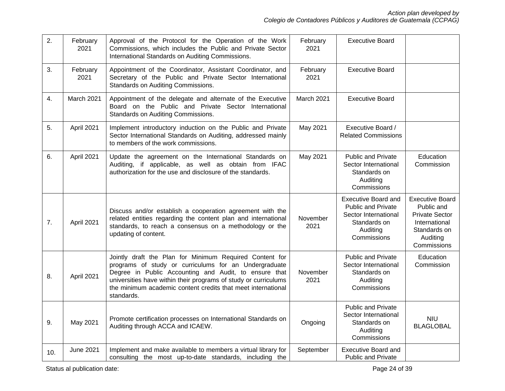| 2.  | February<br>2021 | Approval of the Protocol for the Operation of the Work<br>Commissions, which includes the Public and Private Sector<br>International Standards on Auditing Commissions.                                                                                                                                                    | February<br>2021 | <b>Executive Board</b>                                                                                                     |                                                                                                                           |
|-----|------------------|----------------------------------------------------------------------------------------------------------------------------------------------------------------------------------------------------------------------------------------------------------------------------------------------------------------------------|------------------|----------------------------------------------------------------------------------------------------------------------------|---------------------------------------------------------------------------------------------------------------------------|
| 3.  | February<br>2021 | Appointment of the Coordinator, Assistant Coordinator, and<br>Secretary of the Public and Private Sector International<br>Standards on Auditing Commissions.                                                                                                                                                               | February<br>2021 | <b>Executive Board</b>                                                                                                     |                                                                                                                           |
| 4.  | March 2021       | Appointment of the delegate and alternate of the Executive<br>Board on the Public and Private Sector International<br>Standards on Auditing Commissions.                                                                                                                                                                   | March 2021       | <b>Executive Board</b>                                                                                                     |                                                                                                                           |
| 5.  | April 2021       | Implement introductory induction on the Public and Private<br>Sector International Standards on Auditing, addressed mainly<br>to members of the work commissions.                                                                                                                                                          | May 2021         | Executive Board /<br><b>Related Commissions</b>                                                                            |                                                                                                                           |
| 6.  | April 2021       | Update the agreement on the International Standards on<br>Auditing, if applicable, as well as obtain from IFAC<br>authorization for the use and disclosure of the standards.                                                                                                                                               | May 2021         | <b>Public and Private</b><br>Sector International<br>Standards on<br>Auditing<br>Commissions                               | Education<br>Commission                                                                                                   |
| 7.  | April 2021       | Discuss and/or establish a cooperation agreement with the<br>related entities regarding the content plan and international<br>standards, to reach a consensus on a methodology or the<br>updating of content.                                                                                                              | November<br>2021 | <b>Executive Board and</b><br><b>Public and Private</b><br>Sector International<br>Standards on<br>Auditing<br>Commissions | <b>Executive Board</b><br>Public and<br><b>Private Sector</b><br>International<br>Standards on<br>Auditing<br>Commissions |
| 8.  | April 2021       | Jointly draft the Plan for Minimum Required Content for<br>programs of study or curriculums for an Undergraduate<br>Degree in Public Accounting and Audit, to ensure that<br>universities have within their programs of study or curriculums<br>the minimum academic content credits that meet international<br>standards. | November<br>2021 | <b>Public and Private</b><br>Sector International<br>Standards on<br>Auditing<br>Commissions                               | Education<br>Commission                                                                                                   |
| 9.  | May 2021         | Promote certification processes on International Standards on<br>Auditing through ACCA and ICAEW.                                                                                                                                                                                                                          | Ongoing          | <b>Public and Private</b><br>Sector International<br>Standards on<br>Auditing<br>Commissions                               | <b>NIU</b><br><b>BLAGLOBAL</b>                                                                                            |
| 10. | <b>June 2021</b> | Implement and make available to members a virtual library for<br>consulting the most up-to-date standards, including the                                                                                                                                                                                                   | September        | <b>Executive Board and</b><br>Public and Private                                                                           |                                                                                                                           |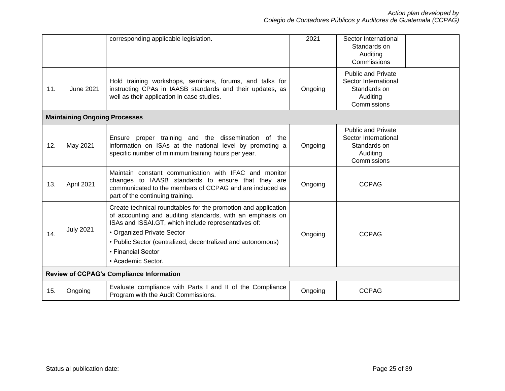|     |                                                 | corresponding applicable legislation.                                                                                                                                                                                                                                                                                        | 2021    | Sector International<br>Standards on<br>Auditing<br>Commissions                              |  |  |
|-----|-------------------------------------------------|------------------------------------------------------------------------------------------------------------------------------------------------------------------------------------------------------------------------------------------------------------------------------------------------------------------------------|---------|----------------------------------------------------------------------------------------------|--|--|
| 11. | <b>June 2021</b>                                | Hold training workshops, seminars, forums, and talks for<br>instructing CPAs in IAASB standards and their updates, as<br>well as their application in case studies.                                                                                                                                                          | Ongoing | <b>Public and Private</b><br>Sector International<br>Standards on<br>Auditing<br>Commissions |  |  |
|     | <b>Maintaining Ongoing Processes</b>            |                                                                                                                                                                                                                                                                                                                              |         |                                                                                              |  |  |
| 12. | May 2021                                        | Ensure proper training and the dissemination of the<br>information on ISAs at the national level by promoting a<br>specific number of minimum training hours per year.                                                                                                                                                       | Ongoing | <b>Public and Private</b><br>Sector International<br>Standards on<br>Auditing<br>Commissions |  |  |
| 13. | April 2021                                      | Maintain constant communication with IFAC and monitor<br>changes to IAASB standards to ensure that they are<br>communicated to the members of CCPAG and are included as<br>part of the continuing training.                                                                                                                  | Ongoing | <b>CCPAG</b>                                                                                 |  |  |
| 14. | <b>July 2021</b>                                | Create technical roundtables for the promotion and application<br>of accounting and auditing standards, with an emphasis on<br>ISAs and ISSAI.GT, which include representatives of:<br>• Organized Private Sector<br>• Public Sector (centralized, decentralized and autonomous)<br>• Financial Sector<br>• Academic Sector. | Ongoing | <b>CCPAG</b>                                                                                 |  |  |
|     | <b>Review of CCPAG's Compliance Information</b> |                                                                                                                                                                                                                                                                                                                              |         |                                                                                              |  |  |
| 15. | Ongoing                                         | Evaluate compliance with Parts I and II of the Compliance<br>Program with the Audit Commissions.                                                                                                                                                                                                                             | Ongoing | <b>CCPAG</b>                                                                                 |  |  |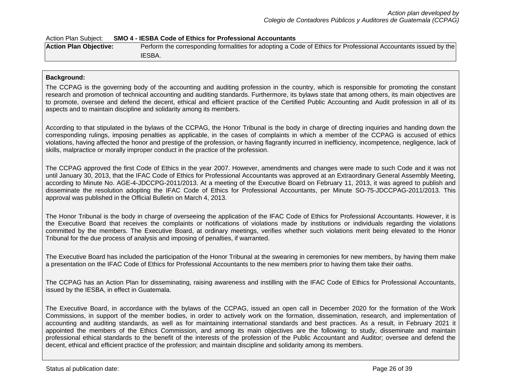#### <span id="page-26-0"></span>Action Plan Subject: **SMO 4 - IESBA Code of Ethics for Professional Accountants**

| <b>Action Plan Objective:</b> | Perform the corresponding formalities for adopting a Code of Ethics for Professional Accountants issued by the |
|-------------------------------|----------------------------------------------------------------------------------------------------------------|
|                               | IESBA.                                                                                                         |

#### **Background:**

The CCPAG is the governing body of the accounting and auditing profession in the country, which is responsible for promoting the constant research and promotion of technical accounting and auditing standards. Furthermore, its bylaws state that among others, its main objectives are to promote, oversee and defend the decent, ethical and efficient practice of the Certified Public Accounting and Audit profession in all of its aspects and to maintain discipline and solidarity among its members.

According to that stipulated in the bylaws of the CCPAG, the Honor Tribunal is the body in charge of directing inquiries and handing down the corresponding rulings, imposing penalties as applicable, in the cases of complaints in which a member of the CCPAG is accused of ethics violations, having affected the honor and prestige of the profession, or having flagrantly incurred in inefficiency, incompetence, negligence, lack of skills, malpractice or morally improper conduct in the practice of the profession.

The CCPAG approved the first Code of Ethics in the year 2007. However, amendments and changes were made to such Code and it was not until January 30, 2013, that the IFAC Code of Ethics for Professional Accountants was approved at an Extraordinary General Assembly Meeting, according to Minute No. AGE-4-JDCCPG-2011/2013. At a meeting of the Executive Board on February 11, 2013, it was agreed to publish and disseminate the resolution adopting the IFAC Code of Ethics for Professional Accountants, per Minute SO-75-JDCCPAG-2011/2013. This approval was published in the Official Bulletin on March 4, 2013.

The Honor Tribunal is the body in charge of overseeing the application of the IFAC Code of Ethics for Professional Accountants. However, it is the Executive Board that receives the complaints or notifications of violations made by institutions or individuals regarding the violations committed by the members. The Executive Board, at ordinary meetings, verifies whether such violations merit being elevated to the Honor Tribunal for the due process of analysis and imposing of penalties, if warranted.

The Executive Board has included the participation of the Honor Tribunal at the swearing in ceremonies for new members, by having them make a presentation on the IFAC Code of Ethics for Professional Accountants to the new members prior to having them take their oaths.

The CCPAG has an Action Plan for disseminating, raising awareness and instilling with the IFAC Code of Ethics for Professional Accountants, issued by the IESBA, in effect in Guatemala.

The Executive Board, in accordance with the bylaws of the CCPAG, issued an open call in December 2020 for the formation of the Work Commissions, in support of the member bodies, in order to actively work on the formation, dissemination, research, and implementation of accounting and auditing standards, as well as for maintaining international standards and best practices. As a result, in February 2021 it appointed the members of the Ethics Commission, and among its main objectives are the following: to study, disseminate and maintain professional ethical standards to the benefit of the interests of the profession of the Public Accountant and Auditor; oversee and defend the decent, ethical and efficient practice of the profession; and maintain discipline and solidarity among its members.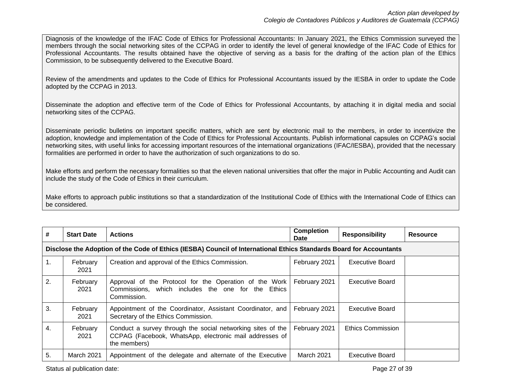Diagnosis of the knowledge of the IFAC Code of Ethics for Professional Accountants: In January 2021, the Ethics Commission surveyed the members through the social networking sites of the CCPAG in order to identify the level of general knowledge of the IFAC Code of Ethics for Professional Accountants. The results obtained have the objective of serving as a basis for the drafting of the action plan of the Ethics Commission, to be subsequently delivered to the Executive Board.

Review of the amendments and updates to the Code of Ethics for Professional Accountants issued by the IESBA in order to update the Code adopted by the CCPAG in 2013.

Disseminate the adoption and effective term of the Code of Ethics for Professional Accountants, by attaching it in digital media and social networking sites of the CCPAG.

Disseminate periodic bulletins on important specific matters, which are sent by electronic mail to the members, in order to incentivize the adoption, knowledge and implementation of the Code of Ethics for Professional Accountants. Publish informational capsules on CCPAG's social networking sites, with useful links for accessing important resources of the international organizations (IFAC/IESBA), provided that the necessary formalities are performed in order to have the authorization of such organizations to do so.

Make efforts and perform the necessary formalities so that the eleven national universities that offer the major in Public Accounting and Audit can include the study of the Code of Ethics in their curriculum.

Make efforts to approach public institutions so that a standardization of the Institutional Code of Ethics with the International Code of Ethics can be considered.

| #  | <b>Start Date</b>                                                                                                   | <b>Actions</b>                                                                                                                         | <b>Completion</b><br><b>Date</b> | <b>Responsibility</b>    | <b>Resource</b> |  |
|----|---------------------------------------------------------------------------------------------------------------------|----------------------------------------------------------------------------------------------------------------------------------------|----------------------------------|--------------------------|-----------------|--|
|    | Disclose the Adoption of the Code of Ethics (IESBA) Council of International Ethics Standards Board for Accountants |                                                                                                                                        |                                  |                          |                 |  |
| 1. | February<br>2021                                                                                                    | Creation and approval of the Ethics Commission.                                                                                        | February 2021                    | <b>Executive Board</b>   |                 |  |
| 2. | February<br>2021                                                                                                    | Approval of the Protocol for the Operation of the Work<br>Commissions, which includes the one for the Ethics<br>Commission.            | February 2021                    | <b>Executive Board</b>   |                 |  |
| 3. | February<br>2021                                                                                                    | Appointment of the Coordinator, Assistant Coordinator, and<br>Secretary of the Ethics Commission.                                      | February 2021                    | <b>Executive Board</b>   |                 |  |
| 4. | February<br>2021                                                                                                    | Conduct a survey through the social networking sites of the<br>CCPAG (Facebook, WhatsApp, electronic mail addresses of<br>the members) | February 2021                    | <b>Ethics Commission</b> |                 |  |
| 5. | <b>March 2021</b>                                                                                                   | Appointment of the delegate and alternate of the Executive                                                                             | March 2021                       | <b>Executive Board</b>   |                 |  |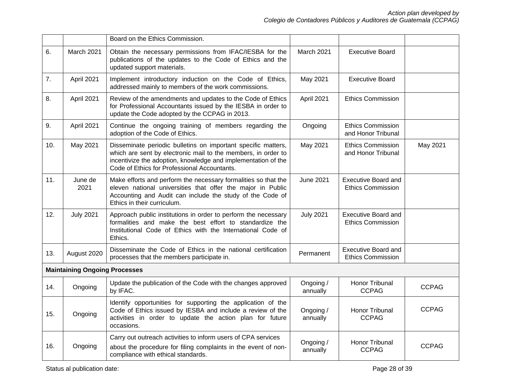|     |                                      | Board on the Ethics Commission.                                                                                                                                                                                                                 |                       |                                                        |              |
|-----|--------------------------------------|-------------------------------------------------------------------------------------------------------------------------------------------------------------------------------------------------------------------------------------------------|-----------------------|--------------------------------------------------------|--------------|
| 6.  | March 2021                           | Obtain the necessary permissions from IFAC/IESBA for the<br>publications of the updates to the Code of Ethics and the<br>updated support materials.                                                                                             | March 2021            | <b>Executive Board</b>                                 |              |
| 7.  | April 2021                           | Implement introductory induction on the Code of Ethics,<br>addressed mainly to members of the work commissions.                                                                                                                                 | May 2021              | <b>Executive Board</b>                                 |              |
| 8.  | April 2021                           | Review of the amendments and updates to the Code of Ethics<br>for Professional Accountants issued by the IESBA in order to<br>update the Code adopted by the CCPAG in 2013.                                                                     | April 2021            | <b>Ethics Commission</b>                               |              |
| 9.  | April 2021                           | Continue the ongoing training of members regarding the<br>adoption of the Code of Ethics.                                                                                                                                                       | Ongoing               | <b>Ethics Commission</b><br>and Honor Tribunal         |              |
| 10. | May 2021                             | Disseminate periodic bulletins on important specific matters,<br>which are sent by electronic mail to the members, in order to<br>incentivize the adoption, knowledge and implementation of the<br>Code of Ethics for Professional Accountants. | May 2021              | <b>Ethics Commission</b><br>and Honor Tribunal         | May 2021     |
| 11. | June de<br>2021                      | Make efforts and perform the necessary formalities so that the<br>eleven national universities that offer the major in Public<br>Accounting and Audit can include the study of the Code of<br>Ethics in their curriculum.                       | <b>June 2021</b>      | <b>Executive Board and</b><br><b>Ethics Commission</b> |              |
| 12. | <b>July 2021</b>                     | Approach public institutions in order to perform the necessary<br>formalities and make the best effort to standardize the<br>Institutional Code of Ethics with the International Code of<br>Ethics.                                             | <b>July 2021</b>      | <b>Executive Board and</b><br><b>Ethics Commission</b> |              |
| 13. | August 2020                          | Disseminate the Code of Ethics in the national certification<br>processes that the members participate in.                                                                                                                                      | Permanent             | <b>Executive Board and</b><br><b>Ethics Commission</b> |              |
|     | <b>Maintaining Ongoing Processes</b> |                                                                                                                                                                                                                                                 |                       |                                                        |              |
| 14. | Ongoing                              | Update the publication of the Code with the changes approved<br>by IFAC.                                                                                                                                                                        | Ongoing /<br>annually | Honor Tribunal<br><b>CCPAG</b>                         | <b>CCPAG</b> |
| 15. | Ongoing                              | Identify opportunities for supporting the application of the<br>Code of Ethics issued by IESBA and include a review of the<br>activities in order to update the action plan for future<br>occasions.                                            | Ongoing /<br>annually | <b>Honor Tribunal</b><br><b>CCPAG</b>                  | <b>CCPAG</b> |
| 16. | Ongoing                              | Carry out outreach activities to inform users of CPA services<br>about the procedure for filing complaints in the event of non-<br>compliance with ethical standards.                                                                           | Ongoing /<br>annually | Honor Tribunal<br><b>CCPAG</b>                         | <b>CCPAG</b> |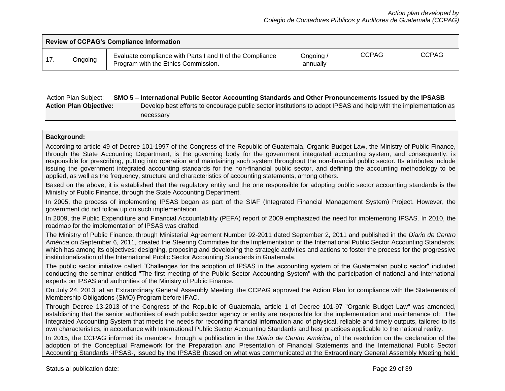| <b>Review of CCPAG's Compliance Information</b> |         |                                                                                                  |                       |       |              |
|-------------------------------------------------|---------|--------------------------------------------------------------------------------------------------|-----------------------|-------|--------------|
| 17.                                             | Ongoing | Evaluate compliance with Parts I and II of the Compliance<br>Program with the Ethics Commission. | Ongoing ∧<br>annually | CCPAG | <b>CCPAG</b> |

#### <span id="page-29-0"></span>Action Plan Subject: **SMO 5 – International Public Sector Accounting Standards and Other Pronouncements Issued by the IPSASB**

| <b>Action Plan Objective:</b> | Develop best efforts to encourage public sector institutions to adopt IPSAS and help with the implementation as |
|-------------------------------|-----------------------------------------------------------------------------------------------------------------|
|                               | necessary                                                                                                       |

#### **Background:**

According to article 49 of Decree 101-1997 of the Congress of the Republic of Guatemala, Organic Budget Law, the Ministry of Public Finance, through the State Accounting Department, is the governing body for the government integrated accounting system, and consequently, is responsible for prescribing, putting into operation and maintaining such system throughout the non-financial public sector. Its attributes include issuing the government integrated accounting standards for the non-financial public sector, and defining the accounting methodology to be applied, as well as the frequency, structure and characteristics of accounting statements, among others.

Based on the above, it is established that the regulatory entity and the one responsible for adopting public sector accounting standards is the Ministry of Public Finance, through the State Accounting Department.

In 2005, the process of implementing IPSAS began as part of the SIAF (Integrated Financial Management System) Project. However, the government did not follow up on such implementation.

In 2009, the Public Expenditure and Financial Accountability (PEFA) report of 2009 emphasized the need for implementing IPSAS. In 2010, the roadmap for the implementation of IPSAS was drafted.

The Ministry of Public Finance, through Ministerial Agreement Number 92-2011 dated September 2, 2011 and published in the *Diario de Centro América* on September 6, 2011, created the Steering Committee for the Implementation of the International Public Sector Accounting Standards, which has among its objectives: designing, proposing and developing the strategic activities and actions to foster the process for the progressive institutionalization of the International Public Sector Accounting Standards in Guatemala.

The public sector initiative called "Challenges for the adoption of IPSAS in the accounting system of the Guatemalan public sector" included conducting the seminar entitled "The first meeting of the Public Sector Accounting System" with the participation of national and international experts on IPSAS and authorities of the Ministry of Public Finance.

On July 24, 2013, at an Extraordinary General Assembly Meeting, the CCPAG approved the Action Plan for compliance with the Statements of Membership Obligations (SMO) Program before IFAC.

Through Decree 13-2013 of the Congress of the Republic of Guatemala, article 1 of Decree 101-97 "Organic Budget Law" was amended, establishing that the senior authorities of each public sector agency or entity are responsible for the implementation and maintenance of: The Integrated Accounting System that meets the needs for recording financial information and of physical, reliable and timely outputs, tailored to its own characteristics, in accordance with International Public Sector Accounting Standards and best practices applicable to the national reality.

In 2015, the CCPAG informed its members through a publication in the *Diario de Centro América*, of the resolution on the declaration of the adoption of the Conceptual Framework for the Preparation and Presentation of Financial Statements and the International Public Sector Accounting Standards -IPSAS-, issued by the IPSASB (based on what was communicated at the Extraordinary General Assembly Meeting held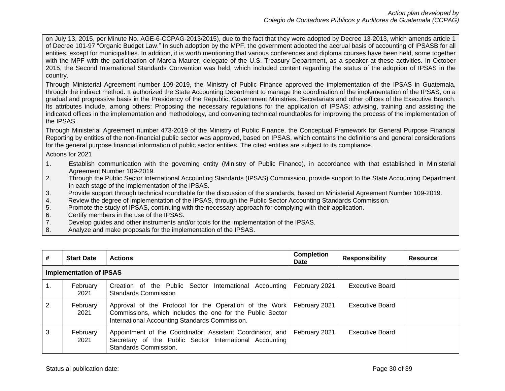on July 13, 2015, per Minute No. AGE-6-CCPAG-2013/2015), due to the fact that they were adopted by Decree 13-2013, which amends article 1 of Decree 101-97 "Organic Budget Law." In such adoption by the MPF, the government adopted the accrual basis of accounting of IPSASB for all entities, except for municipalities. In addition, it is worth mentioning that various conferences and diploma courses have been held, some together with the MPF with the participation of Marcia Maurer, delegate of the U.S. Treasury Department, as a speaker at these activities. In October 2015, the Second International Standards Convention was held, which included content regarding the status of the adoption of IPSAS in the country.

Through Ministerial Agreement number 109-2019, the Ministry of Public Finance approved the implementation of the IPSAS in Guatemala, through the indirect method. It authorized the State Accounting Department to manage the coordination of the implementation of the IPSAS, on a gradual and progressive basis in the Presidency of the Republic, Government Ministries, Secretariats and other offices of the Executive Branch. Its attributes include, among others: Proposing the necessary regulations for the application of IPSAS; advising, training and assisting the indicated offices in the implementation and methodology, and convening technical roundtables for improving the process of the implementation of the IPSAS.

Through Ministerial Agreement number 473-2019 of the Ministry of Public Finance, the Conceptual Framework for General Purpose Financial Reporting by entities of the non-financial public sector was approved, based on IPSAS, which contains the definitions and general considerations for the general purpose financial information of public sector entities. The cited entities are subject to its compliance.

Actions for 2021

- 1. Establish communication with the governing entity (Ministry of Public Finance), in accordance with that established in Ministerial Agreement Number 109-2019.
- 2. Through the Public Sector International Accounting Standards (IPSAS) Commission, provide support to the State Accounting Department in each stage of the implementation of the IPSAS.
- 3. Provide support through technical roundtable for the discussion of the standards, based on Ministerial Agreement Number 109-2019.
- 4. Review the degree of implementation of the IPSAS, through the Public Sector Accounting Standards Commission.
- 5. Promote the study of IPSAS, continuing with the necessary approach for complying with their application.
- 6. Certify members in the use of the IPSAS.
- 7. Develop guides and other instruments and/or tools for the implementation of the IPSAS.
- 8. Analyze and make proposals for the implementation of the IPSAS.

| #              | <b>Start Date</b>              | <b>Actions</b>                                                                                                                                                                        | <b>Completion</b><br>Date | <b>Responsibility</b> | <b>Resource</b> |
|----------------|--------------------------------|---------------------------------------------------------------------------------------------------------------------------------------------------------------------------------------|---------------------------|-----------------------|-----------------|
|                | <b>Implementation of IPSAS</b> |                                                                                                                                                                                       |                           |                       |                 |
| $\mathbf{1}$ . | February<br>2021               | Creation of the Public Sector International Accounting<br><b>Standards Commission</b>                                                                                                 | February 2021             | Executive Board       |                 |
| 2.             | February<br>2021               | Approval of the Protocol for the Operation of the Work   February 2021<br>Commissions, which includes the one for the Public Sector<br>International Accounting Standards Commission. |                           | Executive Board       |                 |
| 3.             | February<br>2021               | Appointment of the Coordinator, Assistant Coordinator, and<br>Secretary of the Public Sector International Accounting<br>Standards Commission.                                        | February 2021             | Executive Board       |                 |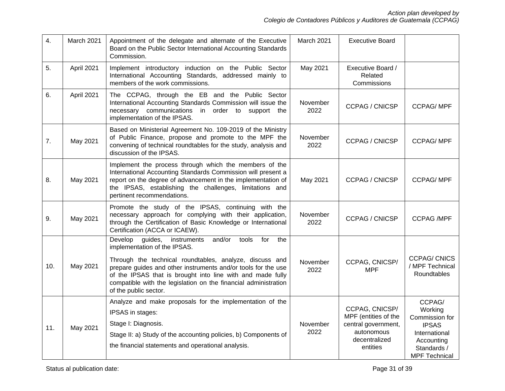| $\overline{4}$ . | March 2021 | Appointment of the delegate and alternate of the Executive<br>Board on the Public Sector International Accounting Standards<br>Commission.                                                                                                                                                                                                                                               | March 2021       | <b>Executive Board</b>                                                                                   |                                                                                                                           |
|------------------|------------|------------------------------------------------------------------------------------------------------------------------------------------------------------------------------------------------------------------------------------------------------------------------------------------------------------------------------------------------------------------------------------------|------------------|----------------------------------------------------------------------------------------------------------|---------------------------------------------------------------------------------------------------------------------------|
| 5.               | April 2021 | Implement introductory induction on the Public Sector<br>International Accounting Standards, addressed mainly to<br>members of the work commissions.                                                                                                                                                                                                                                     | May 2021         | Executive Board /<br>Related<br>Commissions                                                              |                                                                                                                           |
| 6.               | April 2021 | The CCPAG, through the EB and the Public Sector<br>International Accounting Standards Commission will issue the<br>necessary communications in order to support the<br>implementation of the IPSAS.                                                                                                                                                                                      | November<br>2022 | <b>CCPAG / CNICSP</b>                                                                                    | <b>CCPAG/MPF</b>                                                                                                          |
| 7.               | May 2021   | Based on Ministerial Agreement No. 109-2019 of the Ministry<br>of Public Finance, propose and promote to the MPF the<br>convening of technical roundtables for the study, analysis and<br>discussion of the IPSAS.                                                                                                                                                                       | November<br>2022 | <b>CCPAG / CNICSP</b>                                                                                    | <b>CCPAG/MPF</b>                                                                                                          |
| 8.               | May 2021   | Implement the process through which the members of the<br>International Accounting Standards Commission will present a<br>report on the degree of advancement in the implementation of<br>the IPSAS, establishing the challenges, limitations and<br>pertinent recommendations.                                                                                                          | May 2021         | <b>CCPAG / CNICSP</b>                                                                                    | <b>CCPAG/MPF</b>                                                                                                          |
| 9.               | May 2021   | Promote the study of the IPSAS, continuing with the<br>necessary approach for complying with their application,<br>through the Certification of Basic Knowledge or International<br>Certification (ACCA or ICAEW).                                                                                                                                                                       | November<br>2022 | <b>CCPAG / CNICSP</b>                                                                                    | <b>CCPAG /MPF</b>                                                                                                         |
| 10.              | May 2021   | Develop<br>guides,<br>and/or<br>instruments<br>tools<br>for<br>the<br>implementation of the IPSAS.<br>Through the technical roundtables, analyze, discuss and<br>prepare guides and other instruments and/or tools for the use<br>of the IPSAS that is brought into line with and made fully<br>compatible with the legislation on the financial administration<br>of the public sector. | November<br>2022 | CCPAG, CNICSP/<br><b>MPF</b>                                                                             | <b>CCPAG/CNICS</b><br>/ MPF Technical<br>Roundtables                                                                      |
| 11.              | May 2021   | Analyze and make proposals for the implementation of the<br>IPSAS in stages:<br>Stage I: Diagnosis.<br>Stage II: a) Study of the accounting policies, b) Components of<br>the financial statements and operational analysis.                                                                                                                                                             | November<br>2022 | CCPAG, CNICSP/<br>MPF (entities of the<br>central government,<br>autonomous<br>decentralized<br>entities | CCPAG/<br>Working<br>Commission for<br><b>IPSAS</b><br>International<br>Accounting<br>Standards /<br><b>MPF Technical</b> |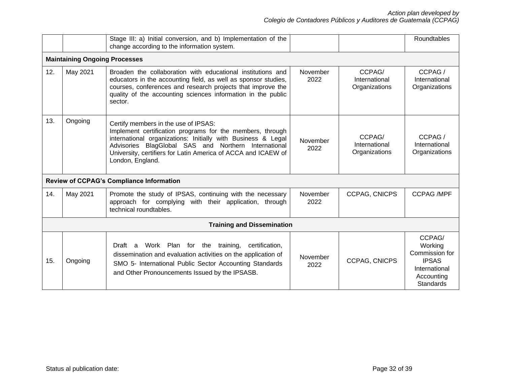|     |                                      | Stage III: a) Initial conversion, and b) Implementation of the<br>change according to the information system.                                                                                                                                                                                                  |                  |                                          | Roundtables                                                                                     |  |
|-----|--------------------------------------|----------------------------------------------------------------------------------------------------------------------------------------------------------------------------------------------------------------------------------------------------------------------------------------------------------------|------------------|------------------------------------------|-------------------------------------------------------------------------------------------------|--|
|     | <b>Maintaining Ongoing Processes</b> |                                                                                                                                                                                                                                                                                                                |                  |                                          |                                                                                                 |  |
| 12. | May 2021                             | Broaden the collaboration with educational institutions and<br>educators in the accounting field, as well as sponsor studies,<br>courses, conferences and research projects that improve the<br>quality of the accounting sciences information in the public<br>sector.                                        | November<br>2022 | CCPAG/<br>International<br>Organizations | CCPAG/<br>International<br>Organizations                                                        |  |
| 13. | Ongoing                              | Certify members in the use of IPSAS:<br>Implement certification programs for the members, through<br>international organizations: Initially with Business & Legal<br>Advisories BlagGlobal SAS and Northern International<br>University, certifiers for Latin America of ACCA and ICAEW of<br>London, England. | November<br>2022 | CCPAG/<br>International<br>Organizations | CCPAG/<br>International<br>Organizations                                                        |  |
|     |                                      | <b>Review of CCPAG's Compliance Information</b>                                                                                                                                                                                                                                                                |                  |                                          |                                                                                                 |  |
| 14. | May 2021                             | Promote the study of IPSAS, continuing with the necessary<br>approach for complying with their application, through<br>technical roundtables.                                                                                                                                                                  | November<br>2022 | <b>CCPAG, CNICPS</b>                     | <b>CCPAG /MPF</b>                                                                               |  |
|     | <b>Training and Dissemination</b>    |                                                                                                                                                                                                                                                                                                                |                  |                                          |                                                                                                 |  |
| 15. | Ongoing                              | Draft a Work Plan for the training, certification,<br>dissemination and evaluation activities on the application of<br>SMO 5- International Public Sector Accounting Standards<br>and Other Pronouncements Issued by the IPSASB.                                                                               | November<br>2022 | <b>CCPAG, CNICPS</b>                     | CCPAG/<br>Working<br>Commission for<br><b>IPSAS</b><br>International<br>Accounting<br>Standards |  |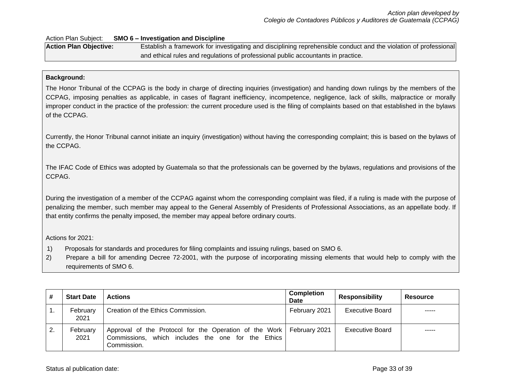#### <span id="page-33-0"></span>Action Plan Subject: **SMO 6 – Investigation and Discipline**

| <b>Action Plan Objective:</b> | Establish a framework for investigating and disciplining reprehensible conduct and the violation of professional |
|-------------------------------|------------------------------------------------------------------------------------------------------------------|
|                               | and ethical rules and regulations of professional public accountants in practice.                                |

# **Background:**

The Honor Tribunal of the CCPAG is the body in charge of directing inquiries (investigation) and handing down rulings by the members of the CCPAG, imposing penalties as applicable, in cases of flagrant inefficiency, incompetence, negligence, lack of skills, malpractice or morally improper conduct in the practice of the profession: the current procedure used is the filing of complaints based on that established in the bylaws of the CCPAG.

Currently, the Honor Tribunal cannot initiate an inquiry (investigation) without having the corresponding complaint; this is based on the bylaws of the CCPAG.

The IFAC Code of Ethics was adopted by Guatemala so that the professionals can be governed by the bylaws, regulations and provisions of the CCPAG.

During the investigation of a member of the CCPAG against whom the corresponding complaint was filed, if a ruling is made with the purpose of penalizing the member, such member may appeal to the General Assembly of Presidents of Professional Associations, as an appellate body. If that entity confirms the penalty imposed, the member may appeal before ordinary courts.

Actions for 2021:

- 1) Proposals for standards and procedures for filing complaints and issuing rulings, based on SMO 6.
- 2) Prepare a bill for amending Decree 72-2001, with the purpose of incorporating missing elements that would help to comply with the requirements of SMO 6.

| #   | <b>Start Date</b> | <b>Actions</b>                                                                                                                              | <b>Completion</b><br><b>Date</b> | <b>Responsibility</b> | <b>Resource</b> |
|-----|-------------------|---------------------------------------------------------------------------------------------------------------------------------------------|----------------------------------|-----------------------|-----------------|
|     | February<br>2021  | Creation of the Ethics Commission.                                                                                                          | February 2021                    | Executive Board       | -----           |
| -2. | February<br>2021  | Approval of the Protocol for the Operation of the Work   February 2021<br>Commissions, which includes the one for the Ethics<br>Commission. |                                  | Executive Board       | -----           |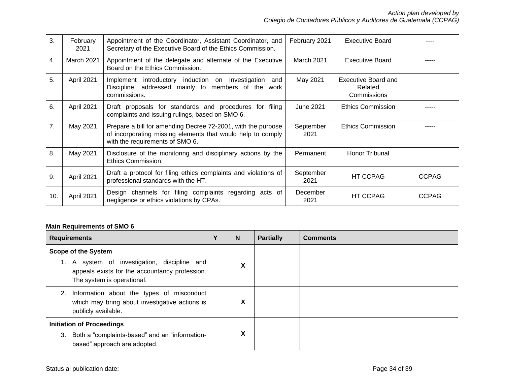| 3.  | February<br>2021 | Appointment of the Coordinator, Assistant Coordinator, and<br>Secretary of the Executive Board of the Ethics Commission.                                       | February 2021     | <b>Executive Board</b>                        |              |
|-----|------------------|----------------------------------------------------------------------------------------------------------------------------------------------------------------|-------------------|-----------------------------------------------|--------------|
| 4.  | March 2021       | Appointment of the delegate and alternate of the Executive<br>Board on the Ethics Commission.                                                                  | March 2021        | <b>Executive Board</b>                        |              |
| 5.  | April 2021       | introductory induction on Investigation<br>Implement<br>and<br>Discipline, addressed mainly to members of the<br>work<br>commissions.                          | May 2021          | Executive Board and<br>Related<br>Commissions |              |
| 6.  | April 2021       | Draft proposals for standards and procedures for filing<br>complaints and issuing rulings, based on SMO 6.                                                     | June 2021         | <b>Ethics Commission</b>                      |              |
| 7.  | May 2021         | Prepare a bill for amending Decree 72-2001, with the purpose<br>of incorporating missing elements that would help to comply<br>with the requirements of SMO 6. | September<br>2021 | <b>Ethics Commission</b>                      |              |
| 8.  | May 2021         | Disclosure of the monitoring and disciplinary actions by the<br>Ethics Commission.                                                                             | Permanent         | Honor Tribunal                                |              |
| 9.  | April 2021       | Draft a protocol for filing ethics complaints and violations of<br>professional standards with the HT.                                                         | September<br>2021 | <b>HT CCPAG</b>                               | <b>CCPAG</b> |
| 10. | April 2021       | Design channels for filing complaints regarding<br>acts of<br>negligence or ethics violations by CPAs.                                                         | December<br>2021  | HT CCPAG                                      | <b>CCPAG</b> |

# **Main Requirements of SMO 6**

| <b>Requirements</b>                                                                                                                                           | Υ | N | <b>Partially</b> | <b>Comments</b> |
|---------------------------------------------------------------------------------------------------------------------------------------------------------------|---|---|------------------|-----------------|
| <b>Scope of the System</b><br>A system of investigation, discipline and<br>1.<br>appeals exists for the accountancy profession.<br>The system is operational. |   | X |                  |                 |
| Information about the types of misconduct<br>which may bring about investigative actions is<br>publicly available.                                            |   | X |                  |                 |
| <b>Initiation of Proceedings</b><br>Both a "complaints-based" and an "information-<br>3.<br>based" approach are adopted.                                      |   | X |                  |                 |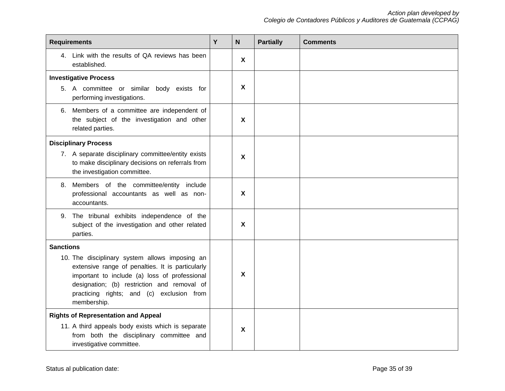| <b>Requirements</b> |                                                                                                                                                                                                                                                                |  | $\mathsf{N}$              | <b>Partially</b> | <b>Comments</b> |
|---------------------|----------------------------------------------------------------------------------------------------------------------------------------------------------------------------------------------------------------------------------------------------------------|--|---------------------------|------------------|-----------------|
|                     | 4. Link with the results of QA reviews has been<br>established.                                                                                                                                                                                                |  | $\boldsymbol{\mathsf{X}}$ |                  |                 |
|                     | <b>Investigative Process</b>                                                                                                                                                                                                                                   |  |                           |                  |                 |
|                     | 5. A committee or similar body exists for<br>performing investigations.                                                                                                                                                                                        |  | X.                        |                  |                 |
|                     | 6. Members of a committee are independent of<br>the subject of the investigation and other<br>related parties.                                                                                                                                                 |  | $\boldsymbol{\mathsf{X}}$ |                  |                 |
|                     | <b>Disciplinary Process</b>                                                                                                                                                                                                                                    |  |                           |                  |                 |
|                     | 7. A separate disciplinary committee/entity exists<br>to make disciplinary decisions on referrals from<br>the investigation committee.                                                                                                                         |  | $\boldsymbol{\mathsf{X}}$ |                  |                 |
|                     | 8. Members of the committee/entity include<br>professional accountants as well as non-<br>accountants.                                                                                                                                                         |  | $\mathsf{X}$              |                  |                 |
|                     | 9. The tribunal exhibits independence of the<br>subject of the investigation and other related<br>parties.                                                                                                                                                     |  | $\boldsymbol{\mathsf{X}}$ |                  |                 |
| <b>Sanctions</b>    |                                                                                                                                                                                                                                                                |  |                           |                  |                 |
|                     | 10. The disciplinary system allows imposing an<br>extensive range of penalties. It is particularly<br>important to include (a) loss of professional<br>designation; (b) restriction and removal of<br>practicing rights; and (c) exclusion from<br>membership. |  | $\boldsymbol{\mathsf{X}}$ |                  |                 |
|                     | <b>Rights of Representation and Appeal</b>                                                                                                                                                                                                                     |  |                           |                  |                 |
|                     | 11. A third appeals body exists which is separate<br>from both the disciplinary committee and<br>investigative committee.                                                                                                                                      |  | $\boldsymbol{\mathsf{X}}$ |                  |                 |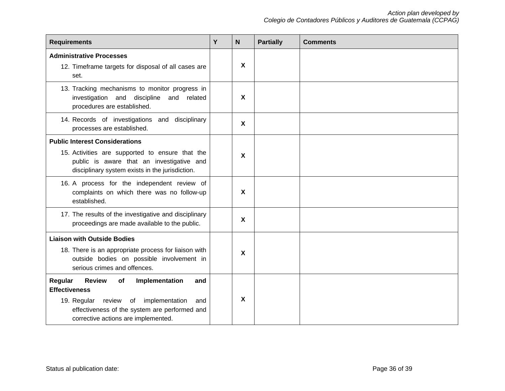| Y       | N                                                                                                                                                                                                                                                                                                                                                                                                         | <b>Partially</b> | <b>Comments</b> |
|---------|-----------------------------------------------------------------------------------------------------------------------------------------------------------------------------------------------------------------------------------------------------------------------------------------------------------------------------------------------------------------------------------------------------------|------------------|-----------------|
|         | X                                                                                                                                                                                                                                                                                                                                                                                                         |                  |                 |
|         | $\boldsymbol{\mathsf{X}}$                                                                                                                                                                                                                                                                                                                                                                                 |                  |                 |
|         | $\boldsymbol{\mathsf{X}}$                                                                                                                                                                                                                                                                                                                                                                                 |                  |                 |
|         |                                                                                                                                                                                                                                                                                                                                                                                                           |                  |                 |
|         | $\boldsymbol{\mathsf{X}}$                                                                                                                                                                                                                                                                                                                                                                                 |                  |                 |
|         | X                                                                                                                                                                                                                                                                                                                                                                                                         |                  |                 |
|         | X                                                                                                                                                                                                                                                                                                                                                                                                         |                  |                 |
|         |                                                                                                                                                                                                                                                                                                                                                                                                           |                  |                 |
|         | X                                                                                                                                                                                                                                                                                                                                                                                                         |                  |                 |
|         | X                                                                                                                                                                                                                                                                                                                                                                                                         |                  |                 |
| related | 13. Tracking mechanisms to monitor progress in<br>15. Activities are supported to ensure that the<br>public is aware that an investigative and<br>16. A process for the independent review of<br>complaints on which there was no follow-up<br>17. The results of the investigative and disciplinary<br>18. There is an appropriate process for liaison with<br>outside bodies on possible involvement in |                  |                 |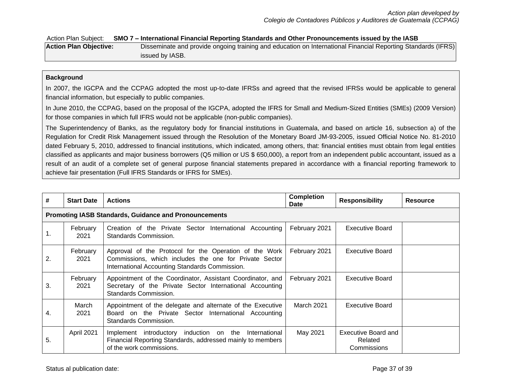#### <span id="page-37-0"></span>Action Plan Subject: **SMO 7 – International Financial Reporting Standards and Other Pronouncements issued by the IASB**

| <b>Action Plan Objective:</b> | Disseminate and provide ongoing training and education on International Financial Reporting Standards (IFRS) |
|-------------------------------|--------------------------------------------------------------------------------------------------------------|
|                               | issued by IASB.                                                                                              |

#### **Background**

In 2007, the IGCPA and the CCPAG adopted the most up-to-date IFRSs and agreed that the revised IFRSs would be applicable to general financial information, but especially to public companies.

In June 2010, the CCPAG, based on the proposal of the IGCPA, adopted the IFRS for Small and Medium-Sized Entities (SMEs) (2009 Version) for those companies in which full IFRS would not be applicable (non-public companies).

The Superintendency of Banks, as the regulatory body for financial institutions in Guatemala, and based on article 16, subsection a) of the Regulation for Credit Risk Management issued through the Resolution of the Monetary Board JM-93-2005, issued Official Notice No. 81-2010 dated February 5, 2010, addressed to financial institutions, which indicated, among others, that: financial entities must obtain from legal entities classified as applicants and major business borrowers (Q5 million or US \$ 650,000), a report from an independent public accountant, issued as a result of an audit of a complete set of general purpose financial statements prepared in accordance with a financial reporting framework to achieve fair presentation (Full IFRS Standards or IFRS for SMEs).

| #  | <b>Start Date</b>                                            | <b>Actions</b>                                                                                                                                                     | <b>Completion</b><br><b>Date</b> | <b>Responsibility</b>                         | <b>Resource</b> |  |  |  |
|----|--------------------------------------------------------------|--------------------------------------------------------------------------------------------------------------------------------------------------------------------|----------------------------------|-----------------------------------------------|-----------------|--|--|--|
|    | <b>Promoting IASB Standards, Guidance and Pronouncements</b> |                                                                                                                                                                    |                                  |                                               |                 |  |  |  |
| 1. | February<br>2021                                             | Creation of the Private Sector International Accounting<br>Standards Commission.                                                                                   | February 2021                    | <b>Executive Board</b>                        |                 |  |  |  |
| 2. | February<br>2021                                             | Approval of the Protocol for the Operation of the Work<br>Commissions, which includes the one for Private Sector<br>International Accounting Standards Commission. | February 2021                    | <b>Executive Board</b>                        |                 |  |  |  |
| 3. | February<br>2021                                             | Appointment of the Coordinator, Assistant Coordinator, and<br>Secretary of the Private Sector International Accounting<br>Standards Commission.                    | February 2021                    | <b>Executive Board</b>                        |                 |  |  |  |
| 4. | March<br>2021                                                | Appointment of the delegate and alternate of the Executive<br>Board on the Private Sector International Accounting<br>Standards Commission.                        | <b>March 2021</b>                | <b>Executive Board</b>                        |                 |  |  |  |
| 5. | April 2021                                                   | Implement introductory induction on the International<br>Financial Reporting Standards, addressed mainly to members<br>of the work commissions.                    | May 2021                         | Executive Board and<br>Related<br>Commissions |                 |  |  |  |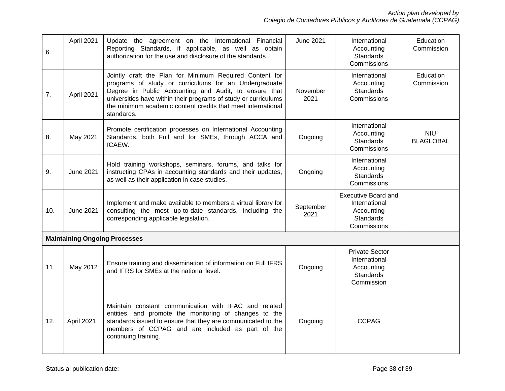| 6.  | April 2021       | Update the agreement on the International Financial<br>Reporting Standards, if applicable, as well as obtain<br>authorization for the use and disclosure of the standards.                                                                                                                                                 | <b>June 2021</b>  | International<br>Accounting<br><b>Standards</b><br>Commissions                               | Education<br>Commission        |
|-----|------------------|----------------------------------------------------------------------------------------------------------------------------------------------------------------------------------------------------------------------------------------------------------------------------------------------------------------------------|-------------------|----------------------------------------------------------------------------------------------|--------------------------------|
| 7.  | April 2021       | Jointly draft the Plan for Minimum Required Content for<br>programs of study or curriculums for an Undergraduate<br>Degree in Public Accounting and Audit, to ensure that<br>universities have within their programs of study or curriculums<br>the minimum academic content credits that meet international<br>standards. | November<br>2021  | International<br>Accounting<br><b>Standards</b><br>Commissions                               | Education<br>Commission        |
| 8.  | May 2021         | Promote certification processes on International Accounting<br>Standards, both Full and for SMEs, through ACCA and<br>ICAEW.                                                                                                                                                                                               | Ongoing           | International<br>Accounting<br><b>Standards</b><br>Commissions                               | <b>NIU</b><br><b>BLAGLOBAL</b> |
| 9.  | <b>June 2021</b> | Hold training workshops, seminars, forums, and talks for<br>instructing CPAs in accounting standards and their updates,<br>as well as their application in case studies.                                                                                                                                                   | Ongoing           | International<br>Accounting<br><b>Standards</b><br>Commissions                               |                                |
| 10. | <b>June 2021</b> | Implement and make available to members a virtual library for<br>consulting the most up-to-date standards, including the<br>corresponding applicable legislation.                                                                                                                                                          | September<br>2021 | <b>Executive Board and</b><br>International<br>Accounting<br><b>Standards</b><br>Commissions |                                |
|     |                  | <b>Maintaining Ongoing Processes</b>                                                                                                                                                                                                                                                                                       |                   |                                                                                              |                                |
| 11. | May 2012         | Ensure training and dissemination of information on Full IFRS<br>and IFRS for SMEs at the national level.                                                                                                                                                                                                                  | Ongoing           | <b>Private Sector</b><br>International<br>Accounting<br>Standards<br>Commission              |                                |
| 12. | April 2021       | Maintain constant communication with IFAC and related<br>entities, and promote the monitoring of changes to the<br>standards issued to ensure that they are communicated to the<br>members of CCPAG and are included as part of the<br>continuing training.                                                                | Ongoing           | <b>CCPAG</b>                                                                                 |                                |